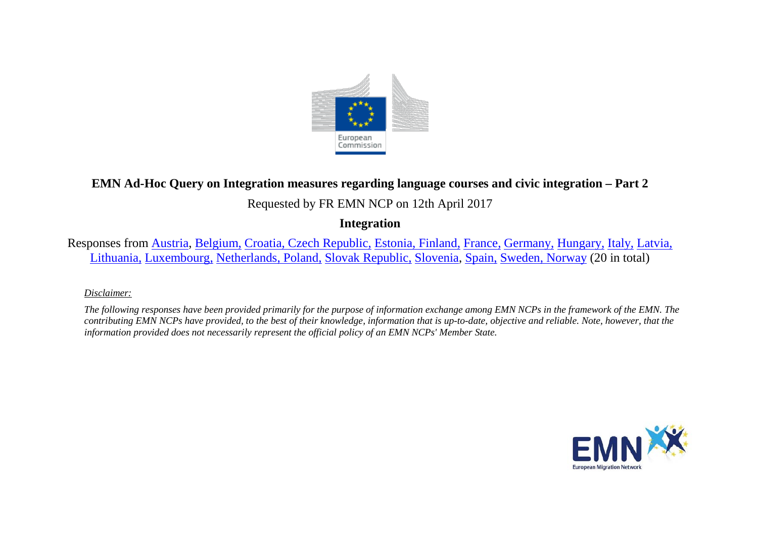

## **EMN Ad-Hoc Query on Integration measures regarding language courses and civic integration – Part 2**

# Requested by FR EMN NCP on 12th April 2017

## **Integration**

Responses from [Austria,](#page-1-0) [Belgium,](#page-3-0) [Croatia,](#page-8-0) [Czech Republic,](#page-8-0) [Estonia, Finland,](#page-10-0) [France,](#page-13-0) [Germany,](#page-14-0) [Hungary,](#page-15-0) [Italy,](#page-16-0) [Latvia,](#page-18-0)  [Lithuania,](#page-19-0) [Luxembourg,](#page-20-0) [Netherlands, Poland,](#page-21-0) [Slovak Republic,](#page-23-0) [Slovenia,](#page-24-0) [Spain,](#page-25-0) [Sweden, Norway](#page-26-0) (20 in total)

### *Disclaimer:*

*The following responses have been provided primarily for the purpose of information exchange among EMN NCPs in the framework of the EMN. The contributing EMN NCPs have provided, to the best of their knowledge, information that is up-to-date, objective and reliable. Note, however, that the information provided does not necessarily represent the official policy of an EMN NCPs' Member State.*

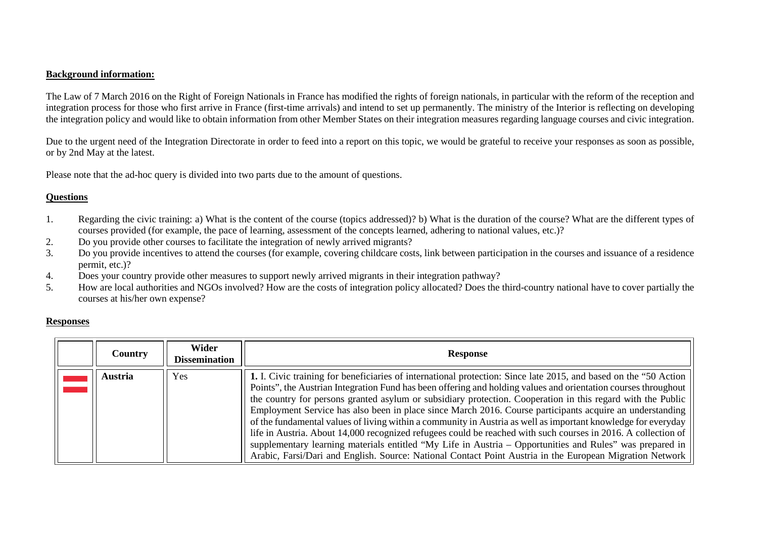### **Background information:**

The Law of 7 March 2016 on the Right of Foreign Nationals in France has modified the rights of foreign nationals, in particular with the reform of the reception and integration process for those who first arrive in France (first-time arrivals) and intend to set up permanently. The ministry of the Interior is reflecting on developing the integration policy and would like to obtain information from other Member States on their integration measures regarding language courses and civic integration.

Due to the urgent need of the Integration Directorate in order to feed into a report on this topic, we would be grateful to receive your responses as soon as possible, or by 2nd May at the latest.

Please note that the ad-hoc query is divided into two parts due to the amount of questions.

### **Questions**

- 1. Regarding the civic training: a) What is the content of the course (topics addressed)? b) What is the duration of the course? What are the different types of courses provided (for example, the pace of learning, assessment of the concepts learned, adhering to national values, etc.)?
- 2. Do you provide other courses to facilitate the integration of newly arrived migrants?
- 3. Do you provide incentives to attend the courses (for example, covering childcare costs, link between participation in the courses and issuance of a residence permit, etc.)?
- 4. Does your country provide other measures to support newly arrived migrants in their integration pathway?
- 5. How are local authorities and NGOs involved? How are the costs of integration policy allocated? Does the third-country national have to cover partially the courses at his/her own expense?

### **Responses**

<span id="page-1-0"></span>

| <b>Country</b> | Wider<br><b>Dissemination</b> | <b>Response</b>                                                                                                                                                                                                                                                                                                                                                                                                                                                                                                                                                                                                                                                                                                                                                                                                                                                                                                          |
|----------------|-------------------------------|--------------------------------------------------------------------------------------------------------------------------------------------------------------------------------------------------------------------------------------------------------------------------------------------------------------------------------------------------------------------------------------------------------------------------------------------------------------------------------------------------------------------------------------------------------------------------------------------------------------------------------------------------------------------------------------------------------------------------------------------------------------------------------------------------------------------------------------------------------------------------------------------------------------------------|
| Austria        | Yes                           | 1. I. Civic training for beneficiaries of international protection: Since late 2015, and based on the "50 Action"<br>Points", the Austrian Integration Fund has been offering and holding values and orientation courses throughout<br>the country for persons granted asylum or subsidiary protection. Cooperation in this regard with the Public<br>Employment Service has also been in place since March 2016. Course participants acquire an understanding<br>of the fundamental values of living within a community in Austria as well as important knowledge for everyday<br>life in Austria. About 14,000 recognized refugees could be reached with such courses in 2016. A collection of<br>supplementary learning materials entitled "My Life in Austria - Opportunities and Rules" was prepared in<br>Arabic, Farsi/Dari and English. Source: National Contact Point Austria in the European Migration Network |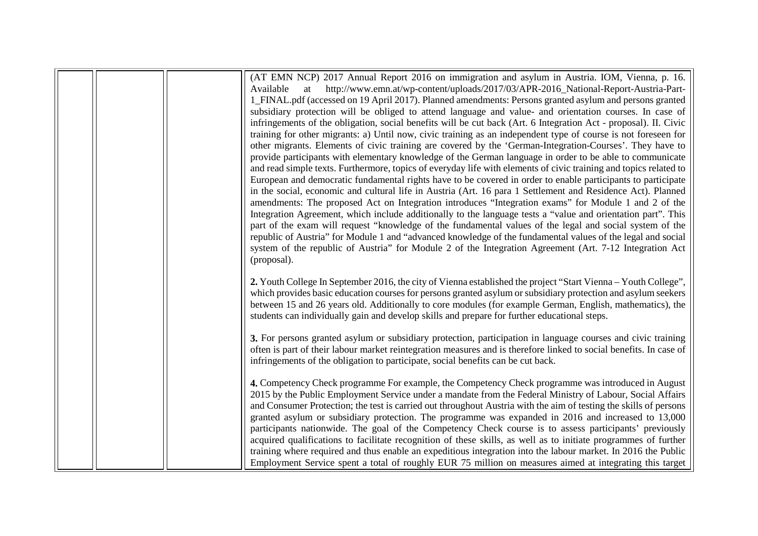|  | (AT EMN NCP) 2017 Annual Report 2016 on immigration and asylum in Austria. IOM, Vienna, p. 16.                     |
|--|--------------------------------------------------------------------------------------------------------------------|
|  | http://www.emn.at/wp-content/uploads/2017/03/APR-2016_National-Report-Austria-Part-                                |
|  | at<br>Available                                                                                                    |
|  | 1_FINAL.pdf (accessed on 19 April 2017). Planned amendments: Persons granted asylum and persons granted            |
|  | subsidiary protection will be obliged to attend language and value- and orientation courses. In case of            |
|  | infringements of the obligation, social benefits will be cut back (Art. 6 Integration Act - proposal). II. Civic   |
|  | training for other migrants: a) Until now, civic training as an independent type of course is not foreseen for     |
|  | other migrants. Elements of civic training are covered by the 'German-Integration-Courses'. They have to           |
|  | provide participants with elementary knowledge of the German language in order to be able to communicate           |
|  | and read simple texts. Furthermore, topics of everyday life with elements of civic training and topics related to  |
|  | European and democratic fundamental rights have to be covered in order to enable participants to participate       |
|  | in the social, economic and cultural life in Austria (Art. 16 para 1 Settlement and Residence Act). Planned        |
|  | amendments: The proposed Act on Integration introduces "Integration exams" for Module 1 and 2 of the               |
|  | Integration Agreement, which include additionally to the language tests a "value and orientation part". This       |
|  | part of the exam will request "knowledge of the fundamental values of the legal and social system of the           |
|  | republic of Austria" for Module 1 and "advanced knowledge of the fundamental values of the legal and social        |
|  | system of the republic of Austria" for Module 2 of the Integration Agreement (Art. 7-12 Integration Act            |
|  | (proposal).                                                                                                        |
|  |                                                                                                                    |
|  | 2. Youth College In September 2016, the city of Vienna established the project "Start Vienna – Youth College",     |
|  | which provides basic education courses for persons granted asylum or subsidiary protection and asylum seekers      |
|  | between 15 and 26 years old. Additionally to core modules (for example German, English, mathematics), the          |
|  | students can individually gain and develop skills and prepare for further educational steps.                       |
|  |                                                                                                                    |
|  | 3. For persons granted asylum or subsidiary protection, participation in language courses and civic training       |
|  | often is part of their labour market reintegration measures and is therefore linked to social benefits. In case of |
|  | infringements of the obligation to participate, social benefits can be cut back.                                   |
|  |                                                                                                                    |
|  | 4. Competency Check programme For example, the Competency Check programme was introduced in August                 |
|  | 2015 by the Public Employment Service under a mandate from the Federal Ministry of Labour, Social Affairs          |
|  | and Consumer Protection; the test is carried out throughout Austria with the aim of testing the skills of persons  |
|  | granted asylum or subsidiary protection. The programme was expanded in 2016 and increased to 13,000                |
|  | participants nationwide. The goal of the Competency Check course is to assess participants' previously             |
|  | acquired qualifications to facilitate recognition of these skills, as well as to initiate programmes of further    |
|  |                                                                                                                    |
|  | training where required and thus enable an expeditious integration into the labour market. In 2016 the Public      |
|  | Employment Service spent a total of roughly EUR 75 million on measures aimed at integrating this target            |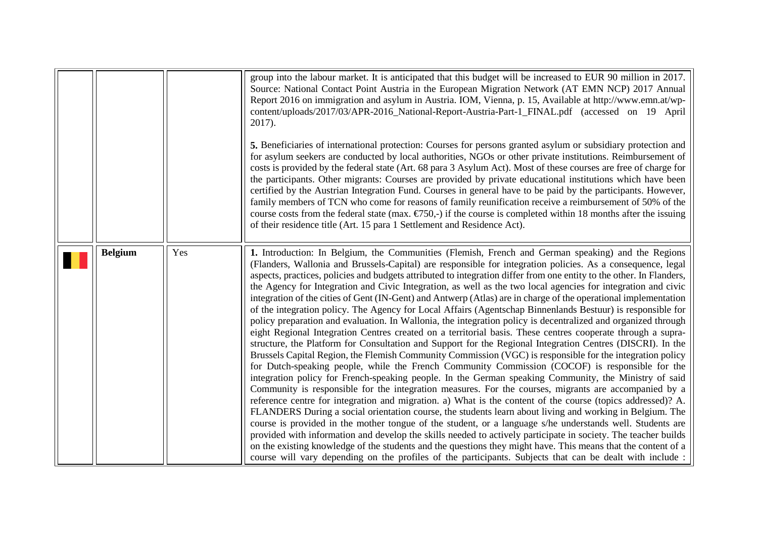<span id="page-3-0"></span>

|                |     | group into the labour market. It is anticipated that this budget will be increased to EUR 90 million in 2017.<br>Source: National Contact Point Austria in the European Migration Network (AT EMN NCP) 2017 Annual<br>Report 2016 on immigration and asylum in Austria. IOM, Vienna, p. 15, Available at http://www.emn.at/wp-<br>content/uploads/2017/03/APR-2016_National-Report-Austria-Part-1_FINAL.pdf (accessed on 19 April<br>2017).<br>5. Beneficiaries of international protection: Courses for persons granted asylum or subsidiary protection and<br>for asylum seekers are conducted by local authorities, NGOs or other private institutions. Reimbursement of<br>costs is provided by the federal state (Art. 68 para 3 Asylum Act). Most of these courses are free of charge for<br>the participants. Other migrants: Courses are provided by private educational institutions which have been<br>certified by the Austrian Integration Fund. Courses in general have to be paid by the participants. However,<br>family members of TCN who come for reasons of family reunification receive a reimbursement of 50% of the<br>course costs from the federal state (max. $\epsilon$ 750,-) if the course is completed within 18 months after the issuing<br>of their residence title (Art. 15 para 1 Settlement and Residence Act).                                                                                                                                                                                                                                                                                                                                                                                                                                                                                                                                                                                                                                                                                                                                                                                                                    |
|----------------|-----|----------------------------------------------------------------------------------------------------------------------------------------------------------------------------------------------------------------------------------------------------------------------------------------------------------------------------------------------------------------------------------------------------------------------------------------------------------------------------------------------------------------------------------------------------------------------------------------------------------------------------------------------------------------------------------------------------------------------------------------------------------------------------------------------------------------------------------------------------------------------------------------------------------------------------------------------------------------------------------------------------------------------------------------------------------------------------------------------------------------------------------------------------------------------------------------------------------------------------------------------------------------------------------------------------------------------------------------------------------------------------------------------------------------------------------------------------------------------------------------------------------------------------------------------------------------------------------------------------------------------------------------------------------------------------------------------------------------------------------------------------------------------------------------------------------------------------------------------------------------------------------------------------------------------------------------------------------------------------------------------------------------------------------------------------------------------------------------------------------------------------------------------------------------------|
| <b>Belgium</b> | Yes | 1. Introduction: In Belgium, the Communities (Flemish, French and German speaking) and the Regions<br>(Flanders, Wallonia and Brussels-Capital) are responsible for integration policies. As a consequence, legal<br>aspects, practices, policies and budgets attributed to integration differ from one entity to the other. In Flanders,<br>the Agency for Integration and Civic Integration, as well as the two local agencies for integration and civic<br>integration of the cities of Gent (IN-Gent) and Antwerp (Atlas) are in charge of the operational implementation<br>of the integration policy. The Agency for Local Affairs (Agentschap Binnenlands Bestuur) is responsible for<br>policy preparation and evaluation. In Wallonia, the integration policy is decentralized and organized through<br>eight Regional Integration Centres created on a territorial basis. These centres cooperate through a supra-<br>structure, the Platform for Consultation and Support for the Regional Integration Centres (DISCRI). In the<br>Brussels Capital Region, the Flemish Community Commission (VGC) is responsible for the integration policy<br>for Dutch-speaking people, while the French Community Commission (COCOF) is responsible for the<br>integration policy for French-speaking people. In the German speaking Community, the Ministry of said<br>Community is responsible for the integration measures. For the courses, migrants are accompanied by a<br>reference centre for integration and migration. a) What is the content of the course (topics addressed)? A.<br>FLANDERS During a social orientation course, the students learn about living and working in Belgium. The<br>course is provided in the mother tongue of the student, or a language s/he understands well. Students are<br>provided with information and develop the skills needed to actively participate in society. The teacher builds<br>on the existing knowledge of the students and the questions they might have. This means that the content of a<br>course will vary depending on the profiles of the participants. Subjects that can be dealt with include : |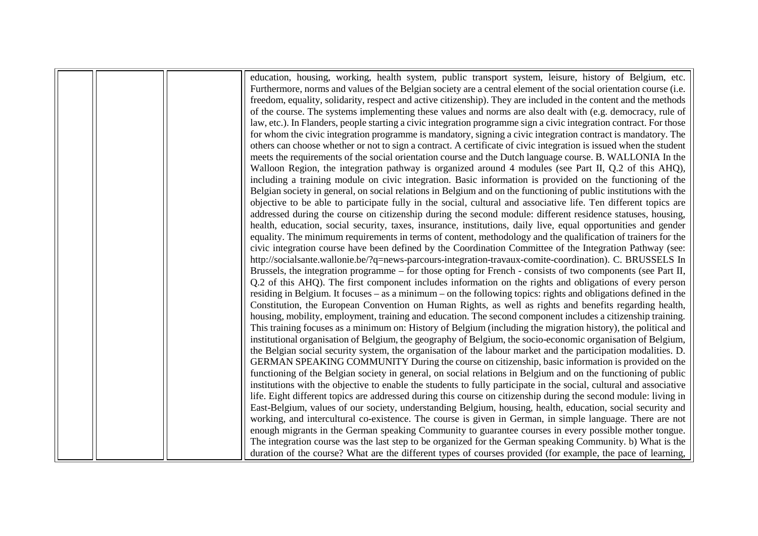|  | education, housing, working, health system, public transport system, leisure, history of Belgium, etc.              |
|--|---------------------------------------------------------------------------------------------------------------------|
|  | Furthermore, norms and values of the Belgian society are a central element of the social orientation course (i.e.   |
|  | freedom, equality, solidarity, respect and active citizenship). They are included in the content and the methods    |
|  | of the course. The systems implementing these values and norms are also dealt with (e.g. democracy, rule of         |
|  | law, etc.). In Flanders, people starting a civic integration programme sign a civic integration contract. For those |
|  | for whom the civic integration programme is mandatory, signing a civic integration contract is mandatory. The       |
|  | others can choose whether or not to sign a contract. A certificate of civic integration is issued when the student  |
|  | meets the requirements of the social orientation course and the Dutch language course. B. WALLONIA In the           |
|  | Walloon Region, the integration pathway is organized around 4 modules (see Part II, Q.2 of this AHQ),               |
|  | including a training module on civic integration. Basic information is provided on the functioning of the           |
|  | Belgian society in general, on social relations in Belgium and on the functioning of public institutions with the   |
|  | objective to be able to participate fully in the social, cultural and associative life. Ten different topics are    |
|  | addressed during the course on citizenship during the second module: different residence statuses, housing,         |
|  | health, education, social security, taxes, insurance, institutions, daily live, equal opportunities and gender      |
|  | equality. The minimum requirements in terms of content, methodology and the qualification of trainers for the       |
|  | civic integration course have been defined by the Coordination Committee of the Integration Pathway (see:           |
|  | http://socialsante.wallonie.be/?q=news-parcours-integration-travaux-comite-coordination). C. BRUSSELS In            |
|  | Brussels, the integration programme - for those opting for French - consists of two components (see Part II,        |
|  | Q.2 of this AHQ). The first component includes information on the rights and obligations of every person            |
|  | residing in Belgium. It focuses – as a minimum – on the following topics: rights and obligations defined in the     |
|  | Constitution, the European Convention on Human Rights, as well as rights and benefits regarding health,             |
|  | housing, mobility, employment, training and education. The second component includes a citizenship training.        |
|  | This training focuses as a minimum on: History of Belgium (including the migration history), the political and      |
|  | institutional organisation of Belgium, the geography of Belgium, the socio-economic organisation of Belgium,        |
|  | the Belgian social security system, the organisation of the labour market and the participation modalities. D.      |
|  | GERMAN SPEAKING COMMUNITY During the course on citizenship, basic information is provided on the                    |
|  | functioning of the Belgian society in general, on social relations in Belgium and on the functioning of public      |
|  | institutions with the objective to enable the students to fully participate in the social, cultural and associative |
|  | life. Eight different topics are addressed during this course on citizenship during the second module: living in    |
|  | East-Belgium, values of our society, understanding Belgium, housing, health, education, social security and         |
|  | working, and intercultural co-existence. The course is given in German, in simple language. There are not           |
|  | enough migrants in the German speaking Community to guarantee courses in every possible mother tongue.              |
|  | The integration course was the last step to be organized for the German speaking Community. b) What is the          |
|  | duration of the course? What are the different types of courses provided (for example, the pace of learning,        |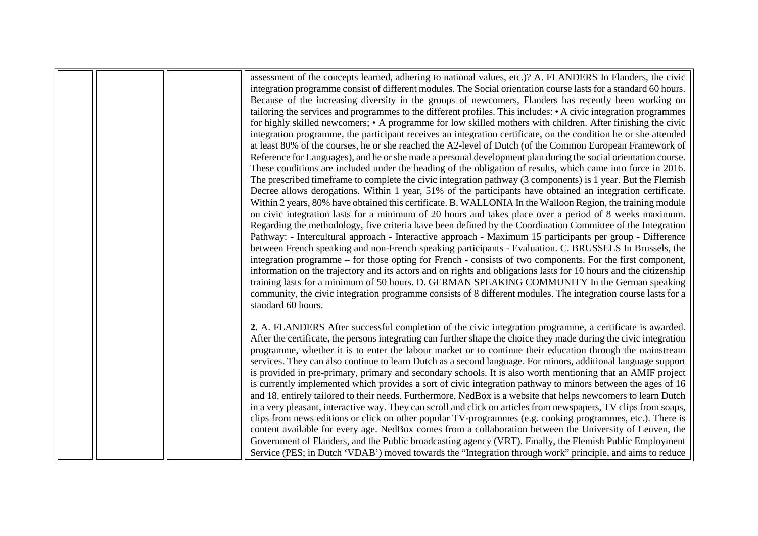|  | assessment of the concepts learned, adhering to national values, etc.)? A. FLANDERS In Flanders, the civic         |
|--|--------------------------------------------------------------------------------------------------------------------|
|  | integration programme consist of different modules. The Social orientation course lasts for a standard 60 hours.   |
|  | Because of the increasing diversity in the groups of newcomers, Flanders has recently been working on              |
|  | tailoring the services and programmes to the different profiles. This includes: • A civic integration programmes   |
|  | for highly skilled newcomers; • A programme for low skilled mothers with children. After finishing the civic       |
|  | integration programme, the participant receives an integration certificate, on the condition he or she attended    |
|  | at least 80% of the courses, he or she reached the A2-level of Dutch (of the Common European Framework of          |
|  | Reference for Languages), and he or she made a personal development plan during the social orientation course.     |
|  | These conditions are included under the heading of the obligation of results, which came into force in 2016.       |
|  | The prescribed timeframe to complete the civic integration pathway (3 components) is 1 year. But the Flemish       |
|  | Decree allows derogations. Within 1 year, 51% of the participants have obtained an integration certificate.        |
|  | Within 2 years, 80% have obtained this certificate. B. WALLONIA In the Walloon Region, the training module         |
|  | on civic integration lasts for a minimum of 20 hours and takes place over a period of 8 weeks maximum.             |
|  | Regarding the methodology, five criteria have been defined by the Coordination Committee of the Integration        |
|  | Pathway: - Intercultural approach - Interactive approach - Maximum 15 participants per group - Difference          |
|  | between French speaking and non-French speaking participants - Evaluation. C. BRUSSELS In Brussels, the            |
|  | integration programme – for those opting for French - consists of two components. For the first component,         |
|  | information on the trajectory and its actors and on rights and obligations lasts for 10 hours and the citizenship  |
|  | training lasts for a minimum of 50 hours. D. GERMAN SPEAKING COMMUNITY In the German speaking                      |
|  | community, the civic integration programme consists of 8 different modules. The integration course lasts for a     |
|  | standard 60 hours.                                                                                                 |
|  | 2. A. FLANDERS After successful completion of the civic integration programme, a certificate is awarded.           |
|  | After the certificate, the persons integrating can further shape the choice they made during the civic integration |
|  | programme, whether it is to enter the labour market or to continue their education through the mainstream          |
|  | services. They can also continue to learn Dutch as a second language. For minors, additional language support      |
|  | is provided in pre-primary, primary and secondary schools. It is also worth mentioning that an AMIF project        |
|  | is currently implemented which provides a sort of civic integration pathway to minors between the ages of 16       |
|  | and 18, entirely tailored to their needs. Furthermore, NedBox is a website that helps newcomers to learn Dutch     |
|  | in a very pleasant, interactive way. They can scroll and click on articles from newspapers, TV clips from soaps,   |
|  | clips from news editions or click on other popular TV-programmes (e.g. cooking programmes, etc.). There is         |
|  | content available for every age. NedBox comes from a collaboration between the University of Leuven, the           |
|  | Government of Flanders, and the Public broadcasting agency (VRT). Finally, the Flemish Public Employment           |
|  | Service (PES; in Dutch 'VDAB') moved towards the "Integration through work" principle, and aims to reduce          |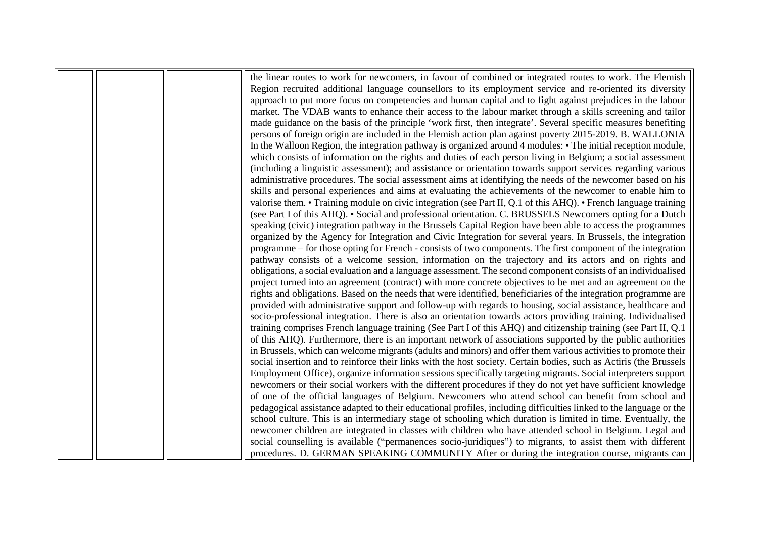|  | the linear routes to work for newcomers, in favour of combined or integrated routes to work. The Flemish           |
|--|--------------------------------------------------------------------------------------------------------------------|
|  | Region recruited additional language counsellors to its employment service and re-oriented its diversity           |
|  |                                                                                                                    |
|  | approach to put more focus on competencies and human capital and to fight against prejudices in the labour         |
|  | market. The VDAB wants to enhance their access to the labour market through a skills screening and tailor          |
|  | made guidance on the basis of the principle 'work first, then integrate'. Several specific measures benefiting     |
|  | persons of foreign origin are included in the Flemish action plan against poverty 2015-2019. B. WALLONIA           |
|  | In the Walloon Region, the integration pathway is organized around 4 modules: • The initial reception module,      |
|  | which consists of information on the rights and duties of each person living in Belgium; a social assessment       |
|  | (including a linguistic assessment); and assistance or orientation towards support services regarding various      |
|  | administrative procedures. The social assessment aims at identifying the needs of the newcomer based on his        |
|  | skills and personal experiences and aims at evaluating the achievements of the newcomer to enable him to           |
|  | valorise them. • Training module on civic integration (see Part II, Q.1 of this AHQ). • French language training   |
|  | (see Part I of this AHQ). • Social and professional orientation. C. BRUSSELS Newcomers opting for a Dutch          |
|  | speaking (civic) integration pathway in the Brussels Capital Region have been able to access the programmes        |
|  | organized by the Agency for Integration and Civic Integration for several years. In Brussels, the integration      |
|  | programme – for those opting for French - consists of two components. The first component of the integration       |
|  | pathway consists of a welcome session, information on the trajectory and its actors and on rights and              |
|  | obligations, a social evaluation and a language assessment. The second component consists of an individualised     |
|  | project turned into an agreement (contract) with more concrete objectives to be met and an agreement on the        |
|  | rights and obligations. Based on the needs that were identified, beneficiaries of the integration programme are    |
|  | provided with administrative support and follow-up with regards to housing, social assistance, healthcare and      |
|  | socio-professional integration. There is also an orientation towards actors providing training. Individualised     |
|  | training comprises French language training (See Part I of this AHQ) and citizenship training (see Part II, Q.1    |
|  | of this AHQ). Furthermore, there is an important network of associations supported by the public authorities       |
|  | in Brussels, which can welcome migrants (adults and minors) and offer them various activities to promote their     |
|  | social insertion and to reinforce their links with the host society. Certain bodies, such as Actiris (the Brussels |
|  | Employment Office), organize information sessions specifically targeting migrants. Social interpreters support     |
|  | newcomers or their social workers with the different procedures if they do not yet have sufficient knowledge       |
|  | of one of the official languages of Belgium. Newcomers who attend school can benefit from school and               |
|  | pedagogical assistance adapted to their educational profiles, including difficulties linked to the language or the |
|  | school culture. This is an intermediary stage of schooling which duration is limited in time. Eventually, the      |
|  | newcomer children are integrated in classes with children who have attended school in Belgium. Legal and           |
|  | social counselling is available ("permanences socio-juridiques") to migrants, to assist them with different        |
|  | procedures. D. GERMAN SPEAKING COMMUNITY After or during the integration course, migrants can                      |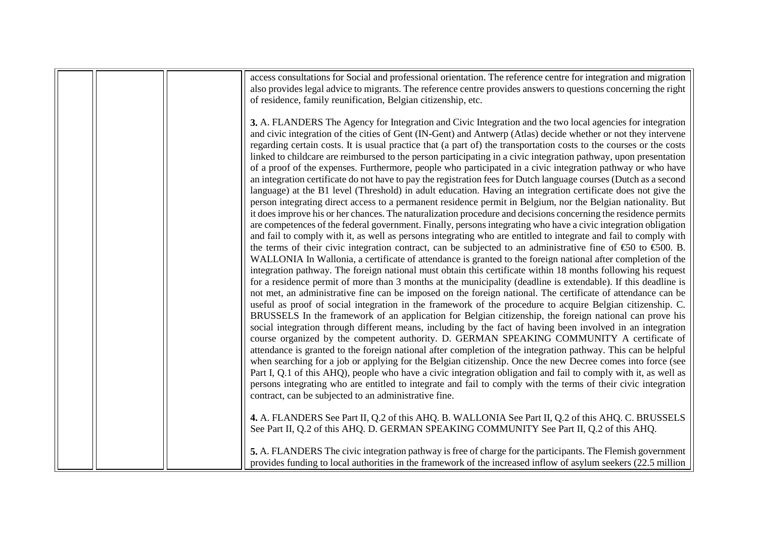|  | access consultations for Social and professional orientation. The reference centre for integration and migration                                                                                                                 |
|--|----------------------------------------------------------------------------------------------------------------------------------------------------------------------------------------------------------------------------------|
|  | also provides legal advice to migrants. The reference centre provides answers to questions concerning the right                                                                                                                  |
|  | of residence, family reunification, Belgian citizenship, etc.                                                                                                                                                                    |
|  | 3. A. FLANDERS The Agency for Integration and Civic Integration and the two local agencies for integration                                                                                                                       |
|  | and civic integration of the cities of Gent (IN-Gent) and Antwerp (Atlas) decide whether or not they intervene                                                                                                                   |
|  | regarding certain costs. It is usual practice that (a part of) the transportation costs to the courses or the costs                                                                                                              |
|  | linked to childcare are reimbursed to the person participating in a civic integration pathway, upon presentation                                                                                                                 |
|  | of a proof of the expenses. Furthermore, people who participated in a civic integration pathway or who have                                                                                                                      |
|  |                                                                                                                                                                                                                                  |
|  | an integration certificate do not have to pay the registration fees for Dutch language courses (Dutch as a second                                                                                                                |
|  | language) at the B1 level (Threshold) in adult education. Having an integration certificate does not give the                                                                                                                    |
|  | person integrating direct access to a permanent residence permit in Belgium, nor the Belgian nationality. But<br>it does improve his or her chances. The naturalization procedure and decisions concerning the residence permits |
|  | are competences of the federal government. Finally, persons integrating who have a civic integration obligation                                                                                                                  |
|  | and fail to comply with it, as well as persons integrating who are entitled to integrate and fail to comply with                                                                                                                 |
|  | the terms of their civic integration contract, can be subjected to an administrative fine of $\text{\textsterling}0$ to $\text{\textsterling}00$ . B.                                                                            |
|  | WALLONIA In Wallonia, a certificate of attendance is granted to the foreign national after completion of the                                                                                                                     |
|  | integration pathway. The foreign national must obtain this certificate within 18 months following his request                                                                                                                    |
|  | for a residence permit of more than 3 months at the municipality (deadline is extendable). If this deadline is                                                                                                                   |
|  | not met, an administrative fine can be imposed on the foreign national. The certificate of attendance can be                                                                                                                     |
|  | useful as proof of social integration in the framework of the procedure to acquire Belgian citizenship. C.                                                                                                                       |
|  | BRUSSELS In the framework of an application for Belgian citizenship, the foreign national can prove his                                                                                                                          |
|  | social integration through different means, including by the fact of having been involved in an integration                                                                                                                      |
|  | course organized by the competent authority. D. GERMAN SPEAKING COMMUNITY A certificate of                                                                                                                                       |
|  | attendance is granted to the foreign national after completion of the integration pathway. This can be helpful                                                                                                                   |
|  | when searching for a job or applying for the Belgian citizenship. Once the new Decree comes into force (see                                                                                                                      |
|  | Part I, Q.1 of this AHQ), people who have a civic integration obligation and fail to comply with it, as well as                                                                                                                  |
|  | persons integrating who are entitled to integrate and fail to comply with the terms of their civic integration                                                                                                                   |
|  | contract, can be subjected to an administrative fine.                                                                                                                                                                            |
|  |                                                                                                                                                                                                                                  |
|  | 4. A. FLANDERS See Part II, Q.2 of this AHQ. B. WALLONIA See Part II, Q.2 of this AHQ. C. BRUSSELS                                                                                                                               |
|  | See Part II, Q.2 of this AHQ. D. GERMAN SPEAKING COMMUNITY See Part II, Q.2 of this AHQ.                                                                                                                                         |
|  |                                                                                                                                                                                                                                  |
|  | 5. A. FLANDERS The civic integration pathway is free of charge for the participants. The Flemish government                                                                                                                      |
|  | provides funding to local authorities in the framework of the increased inflow of asylum seekers (22.5 million                                                                                                                   |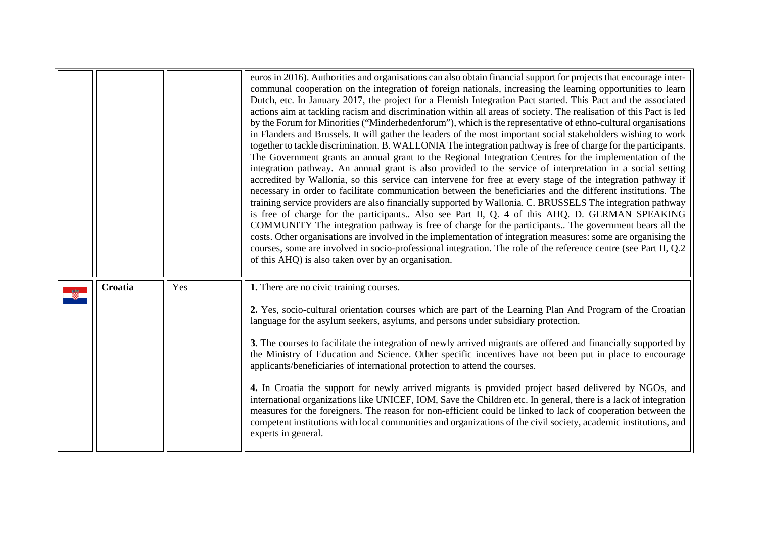<span id="page-8-0"></span>

|         |     | euros in 2016). Authorities and organisations can also obtain financial support for projects that encourage inter-<br>communal cooperation on the integration of foreign nationals, increasing the learning opportunities to learn<br>Dutch, etc. In January 2017, the project for a Flemish Integration Pact started. This Pact and the associated<br>actions aim at tackling racism and discrimination within all areas of society. The realisation of this Pact is led<br>by the Forum for Minorities ("Minderhedenforum"), which is the representative of ethno-cultural organisations<br>in Flanders and Brussels. It will gather the leaders of the most important social stakeholders wishing to work<br>together to tackle discrimination. B. WALLONIA The integration pathway is free of charge for the participants.<br>The Government grants an annual grant to the Regional Integration Centres for the implementation of the<br>integration pathway. An annual grant is also provided to the service of interpretation in a social setting<br>accredited by Wallonia, so this service can intervene for free at every stage of the integration pathway if<br>necessary in order to facilitate communication between the beneficiaries and the different institutions. The<br>training service providers are also financially supported by Wallonia. C. BRUSSELS The integration pathway<br>is free of charge for the participants Also see Part II, Q. 4 of this AHQ. D. GERMAN SPEAKING<br>COMMUNITY The integration pathway is free of charge for the participants The government bears all the<br>costs. Other organisations are involved in the implementation of integration measures: some are organising the<br>courses, some are involved in socio-professional integration. The role of the reference centre (see Part II, Q.2)<br>of this AHQ) is also taken over by an organisation. |
|---------|-----|--------------------------------------------------------------------------------------------------------------------------------------------------------------------------------------------------------------------------------------------------------------------------------------------------------------------------------------------------------------------------------------------------------------------------------------------------------------------------------------------------------------------------------------------------------------------------------------------------------------------------------------------------------------------------------------------------------------------------------------------------------------------------------------------------------------------------------------------------------------------------------------------------------------------------------------------------------------------------------------------------------------------------------------------------------------------------------------------------------------------------------------------------------------------------------------------------------------------------------------------------------------------------------------------------------------------------------------------------------------------------------------------------------------------------------------------------------------------------------------------------------------------------------------------------------------------------------------------------------------------------------------------------------------------------------------------------------------------------------------------------------------------------------------------------------------------------------------------------------------------------------------------------------------|
| Croatia | Yes | 1. There are no civic training courses.<br>2. Yes, socio-cultural orientation courses which are part of the Learning Plan And Program of the Croatian<br>language for the asylum seekers, asylums, and persons under subsidiary protection.<br>3. The courses to facilitate the integration of newly arrived migrants are offered and financially supported by<br>the Ministry of Education and Science. Other specific incentives have not been put in place to encourage<br>applicants/beneficiaries of international protection to attend the courses.<br>4. In Croatia the support for newly arrived migrants is provided project based delivered by NGOs, and<br>international organizations like UNICEF, IOM, Save the Children etc. In general, there is a lack of integration<br>measures for the foreigners. The reason for non-efficient could be linked to lack of cooperation between the<br>competent institutions with local communities and organizations of the civil society, academic institutions, and<br>experts in general.                                                                                                                                                                                                                                                                                                                                                                                                                                                                                                                                                                                                                                                                                                                                                                                                                                                             |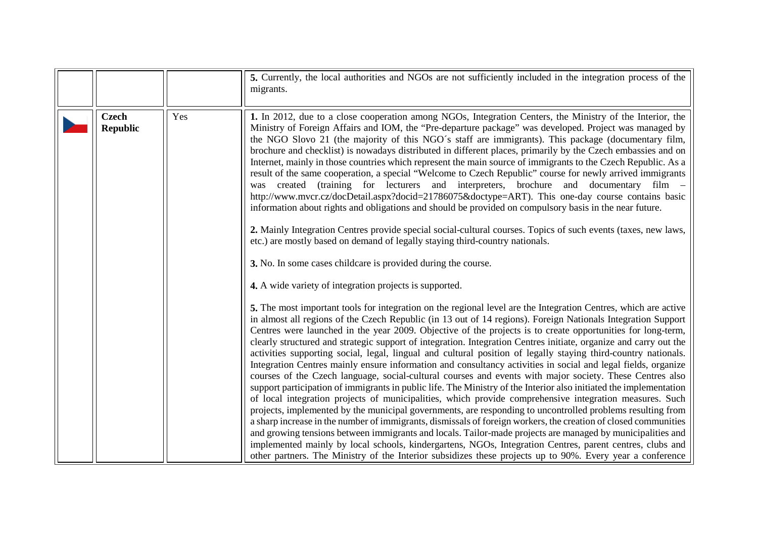|                                 |     | 5. Currently, the local authorities and NGOs are not sufficiently included in the integration process of the<br>migrants.                                                                                                                                                                                                                                                                                                                                                                                                                                                                                                                                                                                                                                                                                                                                                                                                                                                                                                                                                                                                                                                                                                                                                                                                                                                                                                                                                                                                                                                                                                                                                                                                                                                                                                                                                                                                                                                                                                                                                                                                                                                                                                                                                                                                                                                                                                                                                                                                                                                                                                                                                                                                                                                                                                                                                                                                                               |
|---------------------------------|-----|---------------------------------------------------------------------------------------------------------------------------------------------------------------------------------------------------------------------------------------------------------------------------------------------------------------------------------------------------------------------------------------------------------------------------------------------------------------------------------------------------------------------------------------------------------------------------------------------------------------------------------------------------------------------------------------------------------------------------------------------------------------------------------------------------------------------------------------------------------------------------------------------------------------------------------------------------------------------------------------------------------------------------------------------------------------------------------------------------------------------------------------------------------------------------------------------------------------------------------------------------------------------------------------------------------------------------------------------------------------------------------------------------------------------------------------------------------------------------------------------------------------------------------------------------------------------------------------------------------------------------------------------------------------------------------------------------------------------------------------------------------------------------------------------------------------------------------------------------------------------------------------------------------------------------------------------------------------------------------------------------------------------------------------------------------------------------------------------------------------------------------------------------------------------------------------------------------------------------------------------------------------------------------------------------------------------------------------------------------------------------------------------------------------------------------------------------------------------------------------------------------------------------------------------------------------------------------------------------------------------------------------------------------------------------------------------------------------------------------------------------------------------------------------------------------------------------------------------------------------------------------------------------------------------------------------------------------|
| <b>Czech</b><br><b>Republic</b> | Yes | 1. In 2012, due to a close cooperation among NGOs, Integration Centers, the Ministry of the Interior, the<br>Ministry of Foreign Affairs and IOM, the "Pre-departure package" was developed. Project was managed by<br>the NGO Slovo 21 (the majority of this NGO's staff are immigrants). This package (documentary film,<br>brochure and checklist) is nowadays distributed in different places, primarily by the Czech embassies and on<br>Internet, mainly in those countries which represent the main source of immigrants to the Czech Republic. As a<br>result of the same cooperation, a special "Welcome to Czech Republic" course for newly arrived immigrants<br>(training for lecturers and interpreters, brochure and documentary<br>created<br>film –<br>was<br>http://www.mvcr.cz/docDetail.aspx?docid=21786075&doctype=ART). This one-day course contains basic<br>information about rights and obligations and should be provided on compulsory basis in the near future.<br>2. Mainly Integration Centres provide special social-cultural courses. Topics of such events (taxes, new laws,<br>etc.) are mostly based on demand of legally staying third-country nationals.<br>3. No. In some cases childcare is provided during the course.<br>4. A wide variety of integration projects is supported.<br>5. The most important tools for integration on the regional level are the Integration Centres, which are active<br>in almost all regions of the Czech Republic (in 13 out of 14 regions). Foreign Nationals Integration Support<br>Centres were launched in the year 2009. Objective of the projects is to create opportunities for long-term,<br>clearly structured and strategic support of integration. Integration Centres initiate, organize and carry out the<br>activities supporting social, legal, lingual and cultural position of legally staying third-country nationals.<br>Integration Centres mainly ensure information and consultancy activities in social and legal fields, organize<br>courses of the Czech language, social-cultural courses and events with major society. These Centres also<br>support participation of immigrants in public life. The Ministry of the Interior also initiated the implementation<br>of local integration projects of municipalities, which provide comprehensive integration measures. Such<br>projects, implemented by the municipal governments, are responding to uncontrolled problems resulting from<br>a sharp increase in the number of immigrants, dismissals of foreign workers, the creation of closed communities<br>and growing tensions between immigrants and locals. Tailor-made projects are managed by municipalities and<br>implemented mainly by local schools, kindergartens, NGOs, Integration Centres, parent centres, clubs and<br>other partners. The Ministry of the Interior subsidizes these projects up to 90%. Every year a conference |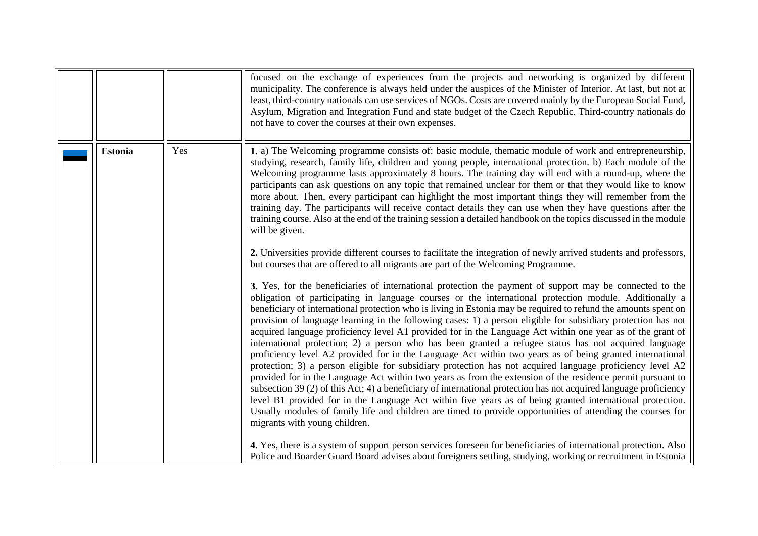<span id="page-10-0"></span>

|                |     | focused on the exchange of experiences from the projects and networking is organized by different<br>municipality. The conference is always held under the auspices of the Minister of Interior. At last, but not at<br>least, third-country nationals can use services of NGOs. Costs are covered mainly by the European Social Fund,<br>Asylum, Migration and Integration Fund and state budget of the Czech Republic. Third-country nationals do<br>not have to cover the courses at their own expenses.                                                                                                                                                                                                                                                                                                                                                                                                                                                                                                                                                                                                                                                                                                                                                                                                                                                                                                                                                                                                                                                                                                                                                                                                                                                                                                                                                                                                                                                                                                                                                                                                                                                                                                                                                                                                                                                                                                                                                                                                                                              |
|----------------|-----|----------------------------------------------------------------------------------------------------------------------------------------------------------------------------------------------------------------------------------------------------------------------------------------------------------------------------------------------------------------------------------------------------------------------------------------------------------------------------------------------------------------------------------------------------------------------------------------------------------------------------------------------------------------------------------------------------------------------------------------------------------------------------------------------------------------------------------------------------------------------------------------------------------------------------------------------------------------------------------------------------------------------------------------------------------------------------------------------------------------------------------------------------------------------------------------------------------------------------------------------------------------------------------------------------------------------------------------------------------------------------------------------------------------------------------------------------------------------------------------------------------------------------------------------------------------------------------------------------------------------------------------------------------------------------------------------------------------------------------------------------------------------------------------------------------------------------------------------------------------------------------------------------------------------------------------------------------------------------------------------------------------------------------------------------------------------------------------------------------------------------------------------------------------------------------------------------------------------------------------------------------------------------------------------------------------------------------------------------------------------------------------------------------------------------------------------------------------------------------------------------------------------------------------------------------|
| <b>Estonia</b> | Yes | 1. a) The Welcoming programme consists of: basic module, thematic module of work and entrepreneurship,<br>studying, research, family life, children and young people, international protection. b) Each module of the<br>Welcoming programme lasts approximately 8 hours. The training day will end with a round-up, where the<br>participants can ask questions on any topic that remained unclear for them or that they would like to know<br>more about. Then, every participant can highlight the most important things they will remember from the<br>training day. The participants will receive contact details they can use when they have questions after the<br>training course. Also at the end of the training session a detailed handbook on the topics discussed in the module<br>will be given.<br>2. Universities provide different courses to facilitate the integration of newly arrived students and professors,<br>but courses that are offered to all migrants are part of the Welcoming Programme.<br>3. Yes, for the beneficiaries of international protection the payment of support may be connected to the<br>obligation of participating in language courses or the international protection module. Additionally a<br>beneficiary of international protection who is living in Estonia may be required to refund the amounts spent on<br>provision of language learning in the following cases: 1) a person eligible for subsidiary protection has not<br>acquired language proficiency level A1 provided for in the Language Act within one year as of the grant of<br>international protection; 2) a person who has been granted a refugee status has not acquired language<br>proficiency level A2 provided for in the Language Act within two years as of being granted international<br>protection; 3) a person eligible for subsidiary protection has not acquired language proficiency level A2<br>provided for in the Language Act within two years as from the extension of the residence permit pursuant to<br>subsection 39 (2) of this Act; 4) a beneficiary of international protection has not acquired language proficiency<br>level B1 provided for in the Language Act within five years as of being granted international protection.<br>Usually modules of family life and children are timed to provide opportunities of attending the courses for<br>migrants with young children.<br>4. Yes, there is a system of support person services foreseen for beneficiaries of international protection. Also |
|                |     | Police and Boarder Guard Board advises about foreigners settling, studying, working or recruitment in Estonia                                                                                                                                                                                                                                                                                                                                                                                                                                                                                                                                                                                                                                                                                                                                                                                                                                                                                                                                                                                                                                                                                                                                                                                                                                                                                                                                                                                                                                                                                                                                                                                                                                                                                                                                                                                                                                                                                                                                                                                                                                                                                                                                                                                                                                                                                                                                                                                                                                            |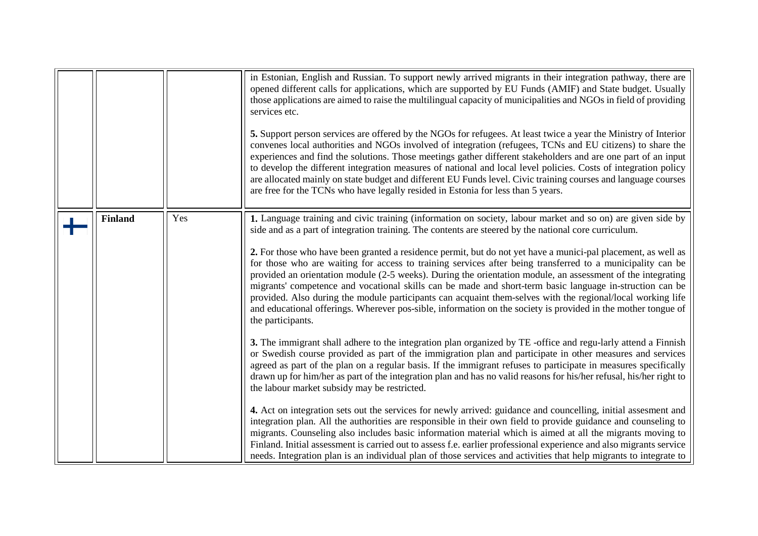|                |     | in Estonian, English and Russian. To support newly arrived migrants in their integration pathway, there are<br>opened different calls for applications, which are supported by EU Funds (AMIF) and State budget. Usually<br>those applications are aimed to raise the multilingual capacity of municipalities and NGOs in field of providing<br>services etc.<br>5. Support person services are offered by the NGOs for refugees. At least twice a year the Ministry of Interior<br>convenes local authorities and NGOs involved of integration (refugees, TCNs and EU citizens) to share the<br>experiences and find the solutions. Those meetings gather different stakeholders and are one part of an input<br>to develop the different integration measures of national and local level policies. Costs of integration policy<br>are allocated mainly on state budget and different EU Funds level. Civic training courses and language courses<br>are free for the TCNs who have legally resided in Estonia for less than 5 years. |
|----------------|-----|-----------------------------------------------------------------------------------------------------------------------------------------------------------------------------------------------------------------------------------------------------------------------------------------------------------------------------------------------------------------------------------------------------------------------------------------------------------------------------------------------------------------------------------------------------------------------------------------------------------------------------------------------------------------------------------------------------------------------------------------------------------------------------------------------------------------------------------------------------------------------------------------------------------------------------------------------------------------------------------------------------------------------------------------|
| <b>Finland</b> | Yes | 1. Language training and civic training (information on society, labour market and so on) are given side by<br>side and as a part of integration training. The contents are steered by the national core curriculum.<br>2. For those who have been granted a residence permit, but do not yet have a munici-pal placement, as well as<br>for those who are waiting for access to training services after being transferred to a municipality can be<br>provided an orientation module (2-5 weeks). During the orientation module, an assessment of the integrating<br>migrants' competence and vocational skills can be made and short-term basic language in-struction can be<br>provided. Also during the module participants can acquaint them-selves with the regional/local working life<br>and educational offerings. Wherever pos-sible, information on the society is provided in the mother tongue of<br>the participants.                                                                                                     |
|                |     | 3. The immigrant shall adhere to the integration plan organized by TE -office and regu-larly attend a Finnish<br>or Swedish course provided as part of the immigration plan and participate in other measures and services<br>agreed as part of the plan on a regular basis. If the immigrant refuses to participate in measures specifically<br>drawn up for him/her as part of the integration plan and has no valid reasons for his/her refusal, his/her right to<br>the labour market subsidy may be restricted.<br>4. Act on integration sets out the services for newly arrived: guidance and councelling, initial assessment and<br>integration plan. All the authorities are responsible in their own field to provide guidance and counseling to<br>migrants. Counseling also includes basic information material which is aimed at all the migrants moving to                                                                                                                                                                 |
|                |     | Finland. Initial assessment is carried out to assess f.e. earlier professional experience and also migrants service<br>needs. Integration plan is an individual plan of those services and activities that help migrants to integrate to                                                                                                                                                                                                                                                                                                                                                                                                                                                                                                                                                                                                                                                                                                                                                                                                |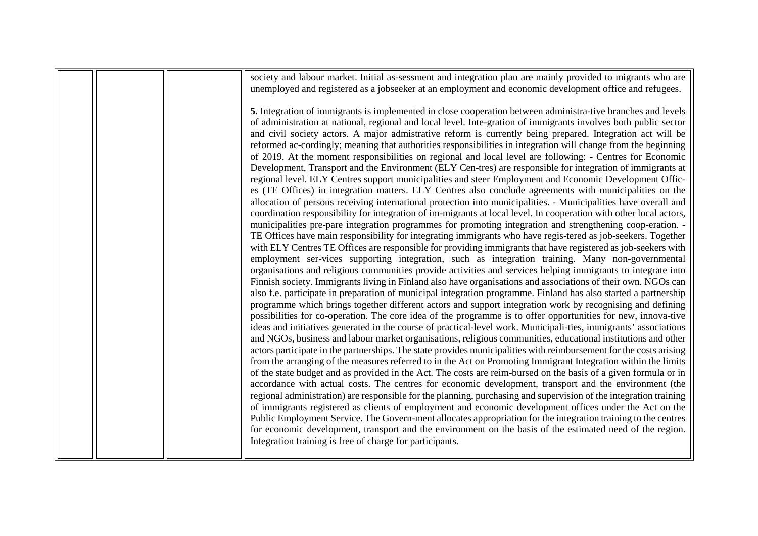|  | society and labour market. Initial as-sessment and integration plan are mainly provided to migrants who are<br>unemployed and registered as a jobseeker at an employment and economic development office and refugees.                                                                                                                                                                                                                                                                                                                                                                                                                                                                                                                                                                                                                                                                                                                                                                                                                                                                                                                                                                                                                                                                                                                                                                                                                                                                                                                                                                                                                                                                                                                                                                                                                                                                                                                                                                                                                                                                                                                                                                                                                                                                                                                                                                                                                                                                                                                                                                                                                                                                                                                                                                                                                                                                                                                                                                                                                                                                                                                                                                                                                                                                                                                                                                                                            |
|--|-----------------------------------------------------------------------------------------------------------------------------------------------------------------------------------------------------------------------------------------------------------------------------------------------------------------------------------------------------------------------------------------------------------------------------------------------------------------------------------------------------------------------------------------------------------------------------------------------------------------------------------------------------------------------------------------------------------------------------------------------------------------------------------------------------------------------------------------------------------------------------------------------------------------------------------------------------------------------------------------------------------------------------------------------------------------------------------------------------------------------------------------------------------------------------------------------------------------------------------------------------------------------------------------------------------------------------------------------------------------------------------------------------------------------------------------------------------------------------------------------------------------------------------------------------------------------------------------------------------------------------------------------------------------------------------------------------------------------------------------------------------------------------------------------------------------------------------------------------------------------------------------------------------------------------------------------------------------------------------------------------------------------------------------------------------------------------------------------------------------------------------------------------------------------------------------------------------------------------------------------------------------------------------------------------------------------------------------------------------------------------------------------------------------------------------------------------------------------------------------------------------------------------------------------------------------------------------------------------------------------------------------------------------------------------------------------------------------------------------------------------------------------------------------------------------------------------------------------------------------------------------------------------------------------------------------------------------------------------------------------------------------------------------------------------------------------------------------------------------------------------------------------------------------------------------------------------------------------------------------------------------------------------------------------------------------------------------------------------------------------------------------------------------------------------------|
|  | 5. Integration of immigrants is implemented in close cooperation between administra-tive branches and levels<br>of administration at national, regional and local level. Inte-gration of immigrants involves both public sector<br>and civil society actors. A major admistrative reform is currently being prepared. Integration act will be<br>reformed ac-cordingly; meaning that authorities responsibilities in integration will change from the beginning<br>of 2019. At the moment responsibilities on regional and local level are following: - Centres for Economic<br>Development, Transport and the Environment (ELY Cen-tres) are responsible for integration of immigrants at<br>regional level. ELY Centres support municipalities and steer Employment and Economic Development Offic-<br>es (TE Offices) in integration matters. ELY Centres also conclude agreements with municipalities on the<br>allocation of persons receiving international protection into municipalities. - Municipalities have overall and<br>coordination responsibility for integration of im-migrants at local level. In cooperation with other local actors,<br>municipalities pre-pare integration programmes for promoting integration and strengthening coop-eration.<br>TE Offices have main responsibility for integrating immigrants who have regis-tered as job-seekers. Together<br>with ELY Centres TE Offices are responsible for providing immigrants that have registered as job-seekers with<br>employment ser-vices supporting integration, such as integration training. Many non-governmental<br>organisations and religious communities provide activities and services helping immigrants to integrate into<br>Finnish society. Immigrants living in Finland also have organisations and associations of their own. NGOs can<br>also f.e. participate in preparation of municipal integration programme. Finland has also started a partnership<br>programme which brings together different actors and support integration work by recognising and defining<br>possibilities for co-operation. The core idea of the programme is to offer opportunities for new, innova-tive<br>ideas and initiatives generated in the course of practical-level work. Municipali-ties, immigrants' associations<br>and NGOs, business and labour market organisations, religious communities, educational institutions and other<br>actors participate in the partnerships. The state provides municipalities with reimbursement for the costs arising<br>from the arranging of the measures referred to in the Act on Promoting Immigrant Integration within the limits<br>of the state budget and as provided in the Act. The costs are reim-bursed on the basis of a given formula or in<br>accordance with actual costs. The centres for economic development, transport and the environment (the<br>regional administration) are responsible for the planning, purchasing and supervision of the integration training<br>of immigrants registered as clients of employment and economic development offices under the Act on the<br>Public Employment Service. The Govern-ment allocates appropriation for the integration training to the centres<br>for economic development, transport and the environment on the basis of the estimated need of the region.<br>Integration training is free of charge for participants. |
|  |                                                                                                                                                                                                                                                                                                                                                                                                                                                                                                                                                                                                                                                                                                                                                                                                                                                                                                                                                                                                                                                                                                                                                                                                                                                                                                                                                                                                                                                                                                                                                                                                                                                                                                                                                                                                                                                                                                                                                                                                                                                                                                                                                                                                                                                                                                                                                                                                                                                                                                                                                                                                                                                                                                                                                                                                                                                                                                                                                                                                                                                                                                                                                                                                                                                                                                                                                                                                                                   |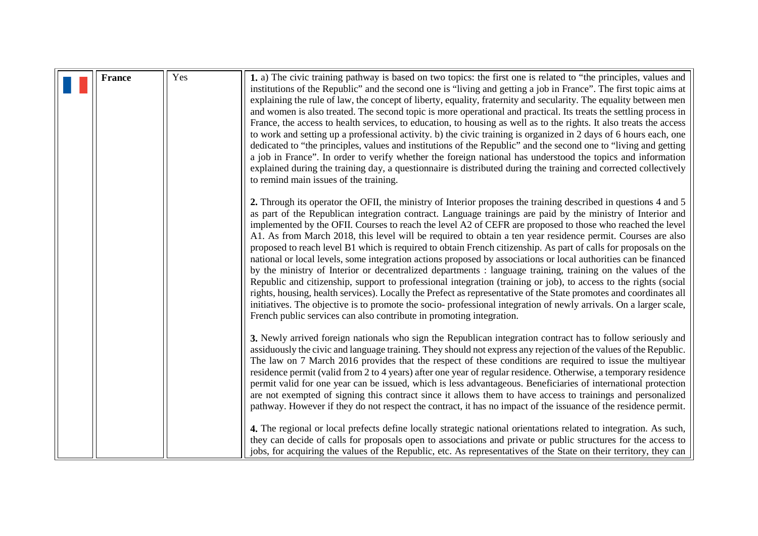<span id="page-13-0"></span>

| <b>France</b> | Yes | 1. a) The civic training pathway is based on two topics: the first one is related to "the principles, values and<br>institutions of the Republic" and the second one is "living and getting a job in France". The first topic aims at<br>explaining the rule of law, the concept of liberty, equality, fraternity and secularity. The equality between men<br>and women is also treated. The second topic is more operational and practical. Its treats the settling process in<br>France, the access to health services, to education, to housing as well as to the rights. It also treats the access<br>to work and setting up a professional activity. b) the civic training is organized in 2 days of 6 hours each, one<br>dedicated to "the principles, values and institutions of the Republic" and the second one to "living and getting<br>a job in France". In order to verify whether the foreign national has understood the topics and information<br>explained during the training day, a questionnaire is distributed during the training and corrected collectively<br>to remind main issues of the training.                                                                                                                              |
|---------------|-----|-----------------------------------------------------------------------------------------------------------------------------------------------------------------------------------------------------------------------------------------------------------------------------------------------------------------------------------------------------------------------------------------------------------------------------------------------------------------------------------------------------------------------------------------------------------------------------------------------------------------------------------------------------------------------------------------------------------------------------------------------------------------------------------------------------------------------------------------------------------------------------------------------------------------------------------------------------------------------------------------------------------------------------------------------------------------------------------------------------------------------------------------------------------------------------------------------------------------------------------------------------------|
|               |     | 2. Through its operator the OFII, the ministry of Interior proposes the training described in questions 4 and 5<br>as part of the Republican integration contract. Language trainings are paid by the ministry of Interior and<br>implemented by the OFII. Courses to reach the level A2 of CEFR are proposed to those who reached the level<br>A1. As from March 2018, this level will be required to obtain a ten year residence permit. Courses are also<br>proposed to reach level B1 which is required to obtain French citizenship. As part of calls for proposals on the<br>national or local levels, some integration actions proposed by associations or local authorities can be financed<br>by the ministry of Interior or decentralized departments : language training, training on the values of the<br>Republic and citizenship, support to professional integration (training or job), to access to the rights (social<br>rights, housing, health services). Locally the Prefect as representative of the State promotes and coordinates all<br>initiatives. The objective is to promote the socio-professional integration of newly arrivals. On a larger scale,<br>French public services can also contribute in promoting integration. |
|               |     | 3. Newly arrived foreign nationals who sign the Republican integration contract has to follow seriously and<br>assiduously the civic and language training. They should not express any rejection of the values of the Republic.<br>The law on 7 March 2016 provides that the respect of these conditions are required to issue the multiyear<br>residence permit (valid from 2 to 4 years) after one year of regular residence. Otherwise, a temporary residence<br>permit valid for one year can be issued, which is less advantageous. Beneficiaries of international protection<br>are not exempted of signing this contract since it allows them to have access to trainings and personalized<br>pathway. However if they do not respect the contract, it has no impact of the issuance of the residence permit.<br>4. The regional or local prefects define locally strategic national orientations related to integration. As such,<br>they can decide of calls for proposals open to associations and private or public structures for the access to                                                                                                                                                                                              |
|               |     | jobs, for acquiring the values of the Republic, etc. As representatives of the State on their territory, they can                                                                                                                                                                                                                                                                                                                                                                                                                                                                                                                                                                                                                                                                                                                                                                                                                                                                                                                                                                                                                                                                                                                                         |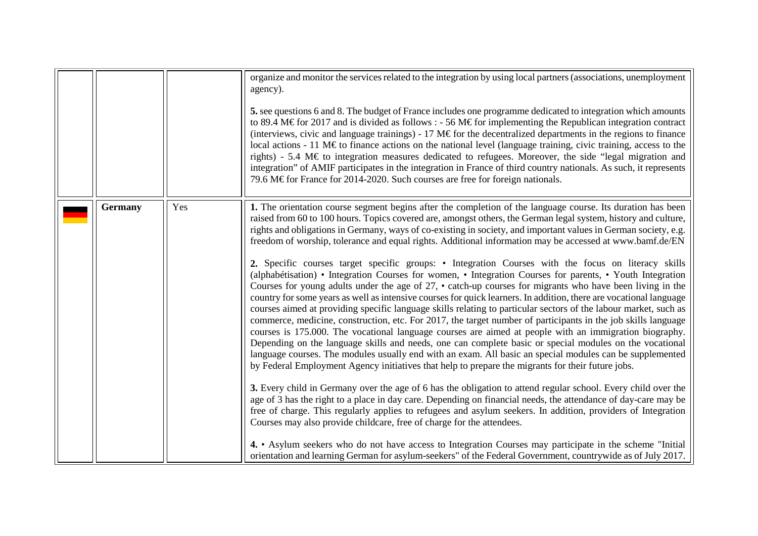<span id="page-14-0"></span>

|                |     | organize and monitor the services related to the integration by using local partners (associations, unemployment<br>agency).<br>5. see questions 6 and 8. The budget of France includes one programme dedicated to integration which amounts<br>to 89.4 M€for 2017 and is divided as follows : - 56 M€for implementing the Republican integration contract<br>(interviews, civic and language trainings) - 17 M $\epsilon$ for the decentralized departments in the regions to finance<br>local actions - 11 M $\epsilon$ to finance actions on the national level (language training, civic training, access to the<br>rights) - 5.4 M $\epsilon$ to integration measures dedicated to refugees. Moreover, the side "legal migration and<br>integration" of AMIF participates in the integration in France of third country nationals. As such, it represents<br>79.6 M€for France for 2014-2020. Such courses are free for foreign nationals.                                                                                                                                                                                                                                                                                                                                                                                                                                                                                                                                                                                                                                                                                                                                                                                                                                                                                                                                                                                                                                                                                                                                                                                                                                                                                                           |
|----------------|-----|-----------------------------------------------------------------------------------------------------------------------------------------------------------------------------------------------------------------------------------------------------------------------------------------------------------------------------------------------------------------------------------------------------------------------------------------------------------------------------------------------------------------------------------------------------------------------------------------------------------------------------------------------------------------------------------------------------------------------------------------------------------------------------------------------------------------------------------------------------------------------------------------------------------------------------------------------------------------------------------------------------------------------------------------------------------------------------------------------------------------------------------------------------------------------------------------------------------------------------------------------------------------------------------------------------------------------------------------------------------------------------------------------------------------------------------------------------------------------------------------------------------------------------------------------------------------------------------------------------------------------------------------------------------------------------------------------------------------------------------------------------------------------------------------------------------------------------------------------------------------------------------------------------------------------------------------------------------------------------------------------------------------------------------------------------------------------------------------------------------------------------------------------------------------------------------------------------------------------------------------------------------|
| <b>Germany</b> | Yes | 1. The orientation course segment begins after the completion of the language course. Its duration has been<br>raised from 60 to 100 hours. Topics covered are, amongst others, the German legal system, history and culture,<br>rights and obligations in Germany, ways of co-existing in society, and important values in German society, e.g.<br>freedom of worship, tolerance and equal rights. Additional information may be accessed at www.bamf.de/EN<br>2. Specific courses target specific groups: • Integration Courses with the focus on literacy skills<br>(alphabétisation) • Integration Courses for women, • Integration Courses for parents, • Youth Integration<br>Courses for young adults under the age of $27$ , • catch-up courses for migrants who have been living in the<br>country for some years as well as intensive courses for quick learners. In addition, there are vocational language<br>courses aimed at providing specific language skills relating to particular sectors of the labour market, such as<br>commerce, medicine, construction, etc. For 2017, the target number of participants in the job skills language<br>courses is 175,000. The vocational language courses are aimed at people with an immigration biography.<br>Depending on the language skills and needs, one can complete basic or special modules on the vocational<br>language courses. The modules usually end with an exam. All basic an special modules can be supplemented<br>by Federal Employment Agency initiatives that help to prepare the migrants for their future jobs.<br>3. Every child in Germany over the age of 6 has the obligation to attend regular school. Every child over the<br>age of 3 has the right to a place in day care. Depending on financial needs, the attendance of day-care may be<br>free of charge. This regularly applies to refugees and asylum seekers. In addition, providers of Integration<br>Courses may also provide childcare, free of charge for the attendees.<br>4. • Asylum seekers who do not have access to Integration Courses may participate in the scheme "Initial"<br>orientation and learning German for asylum-seekers" of the Federal Government, countrywide as of July 2017. |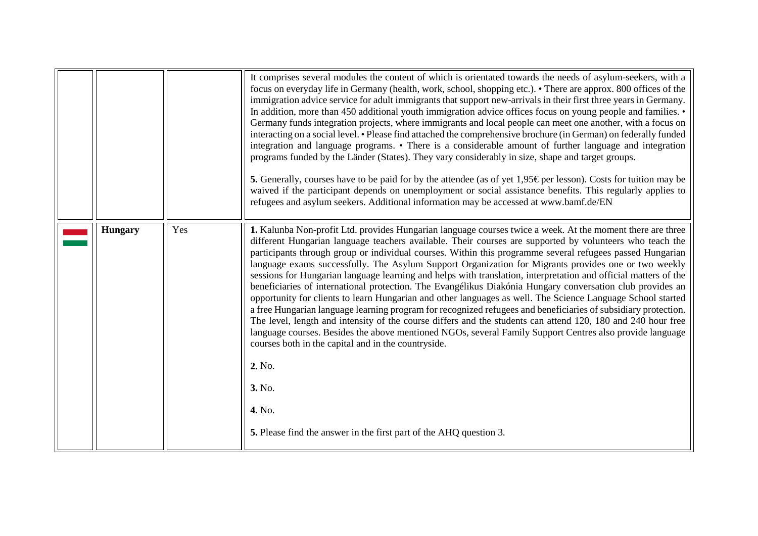<span id="page-15-0"></span>

|                |     | It comprises several modules the content of which is orientated towards the needs of asylum-seekers, with a<br>focus on everyday life in Germany (health, work, school, shopping etc.). • There are approx. 800 offices of the<br>immigration advice service for adult immigrants that support new-arrivals in their first three years in Germany.<br>In addition, more than 450 additional youth immigration advice offices focus on young people and families. •<br>Germany funds integration projects, where immigrants and local people can meet one another, with a focus on<br>interacting on a social level. • Please find attached the comprehensive brochure (in German) on federally funded<br>integration and language programs. • There is a considerable amount of further language and integration<br>programs funded by the Länder (States). They vary considerably in size, shape and target groups.<br><b>5.</b> Generally, courses have to be paid for by the attendee (as of yet 1,95 $\epsilon$ per lesson). Costs for tuition may be<br>waived if the participant depends on unemployment or social assistance benefits. This regularly applies to<br>refugees and asylum seekers. Additional information may be accessed at www.bamf.de/EN                                    |
|----------------|-----|-----------------------------------------------------------------------------------------------------------------------------------------------------------------------------------------------------------------------------------------------------------------------------------------------------------------------------------------------------------------------------------------------------------------------------------------------------------------------------------------------------------------------------------------------------------------------------------------------------------------------------------------------------------------------------------------------------------------------------------------------------------------------------------------------------------------------------------------------------------------------------------------------------------------------------------------------------------------------------------------------------------------------------------------------------------------------------------------------------------------------------------------------------------------------------------------------------------------------------------------------------------------------------------------------------|
| <b>Hungary</b> | Yes | 1. Kalunba Non-profit Ltd. provides Hungarian language courses twice a week. At the moment there are three<br>different Hungarian language teachers available. Their courses are supported by volunteers who teach the<br>participants through group or individual courses. Within this programme several refugees passed Hungarian<br>language exams successfully. The Asylum Support Organization for Migrants provides one or two weekly<br>sessions for Hungarian language learning and helps with translation, interpretation and official matters of the<br>beneficiaries of international protection. The Evangélikus Diakónia Hungary conversation club provides an<br>opportunity for clients to learn Hungarian and other languages as well. The Science Language School started<br>a free Hungarian language learning program for recognized refugees and beneficiaries of subsidiary protection.<br>The level, length and intensity of the course differs and the students can attend 120, 180 and 240 hour free<br>language courses. Besides the above mentioned NGOs, several Family Support Centres also provide language<br>courses both in the capital and in the countryside.<br>2. No.<br>3. No.<br>4. No.<br>5. Please find the answer in the first part of the AHQ question 3. |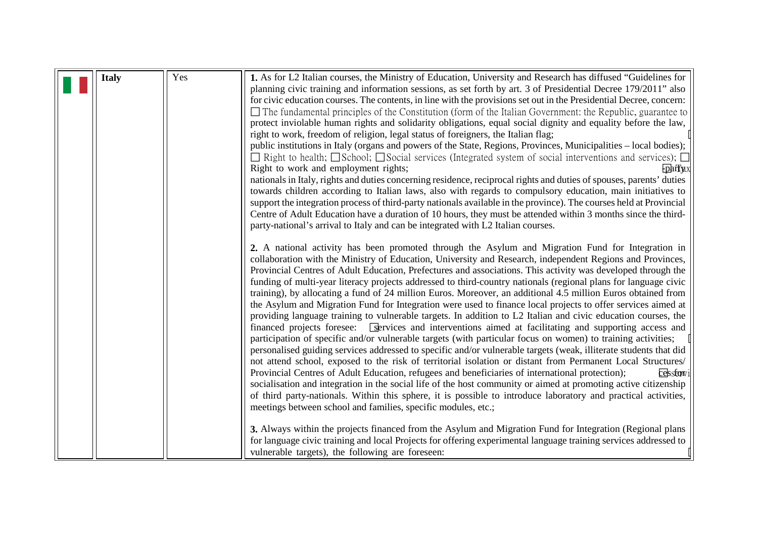<span id="page-16-0"></span>

| <b>Italy</b> | Yes | 1. As for L2 Italian courses, the Ministry of Education, University and Research has diffused "Guidelines for                  |
|--------------|-----|--------------------------------------------------------------------------------------------------------------------------------|
|              |     | planning civic training and information sessions, as set forth by art. 3 of Presidential Decree 179/2011" also                 |
|              |     | for civic education courses. The contents, in line with the provisions set out in the Presidential Decree, concern:            |
|              |     | $\Box$ The fundamental principles of the Constitution (form of the Italian Government: the Republic, guarantee to              |
|              |     | protect inviolable human rights and solidarity obligations, equal social dignity and equality before the law,                  |
|              |     | right to work, freedom of religion, legal status of foreigners, the Italian flag;                                              |
|              |     | public institutions in Italy (organs and powers of the State, Regions, Provinces, Municipalities - local bodies);              |
|              |     | $\Box$ Right to health; $\Box$ School; $\Box$ Social services (Integrated system of social interventions and services); $\Box$ |
|              |     | Right to work and employment rights;<br><b>Fpartux</b>                                                                         |
|              |     | nationals in Italy, rights and duties concerning residence, reciprocal rights and duties of spouses, parents' duties           |
|              |     | towards children according to Italian laws, also with regards to compulsory education, main initiatives to                     |
|              |     | support the integration process of third-party nationals available in the province). The courses held at Provincial            |
|              |     | Centre of Adult Education have a duration of 10 hours, they must be attended within 3 months since the third-                  |
|              |     | party-national's arrival to Italy and can be integrated with L2 Italian courses.                                               |
|              |     |                                                                                                                                |
|              |     | 2. A national activity has been promoted through the Asylum and Migration Fund for Integration in                              |
|              |     | collaboration with the Ministry of Education, University and Research, independent Regions and Provinces,                      |
|              |     | Provincial Centres of Adult Education, Prefectures and associations. This activity was developed through the                   |
|              |     | funding of multi-year literacy projects addressed to third-country nationals (regional plans for language civic                |
|              |     | training), by allocating a fund of 24 million Euros. Moreover, an additional 4.5 million Euros obtained from                   |
|              |     | the Asylum and Migration Fund for Integration were used to finance local projects to offer services aimed at                   |
|              |     | providing language training to vulnerable targets. In addition to L2 Italian and civic education courses, the                  |
|              |     | financed projects foresee: Services and interventions aimed at facilitating and supporting access and                          |
|              |     | participation of specific and/or vulnerable targets (with particular focus on women) to training activities;                   |
|              |     | personalised guiding services addressed to specific and/or vulnerable targets (weak, illiterate students that did              |
|              |     | not attend school, exposed to the risk of territorial isolation or distant from Permanent Local Structures/                    |
|              |     | Provincial Centres of Adult Education, refugees and beneficiaries of international protection);<br>cessforvi                   |
|              |     | socialisation and integration in the social life of the host community or aimed at promoting active citizenship                |
|              |     | of third party-nationals. Within this sphere, it is possible to introduce laboratory and practical activities,                 |
|              |     | meetings between school and families, specific modules, etc.;                                                                  |
|              |     | 3. Always within the projects financed from the Asylum and Migration Fund for Integration (Regional plans                      |
|              |     | for language civic training and local Projects for offering experimental language training services addressed to               |
|              |     | vulnerable targets), the following are foreseen:                                                                               |
|              |     |                                                                                                                                |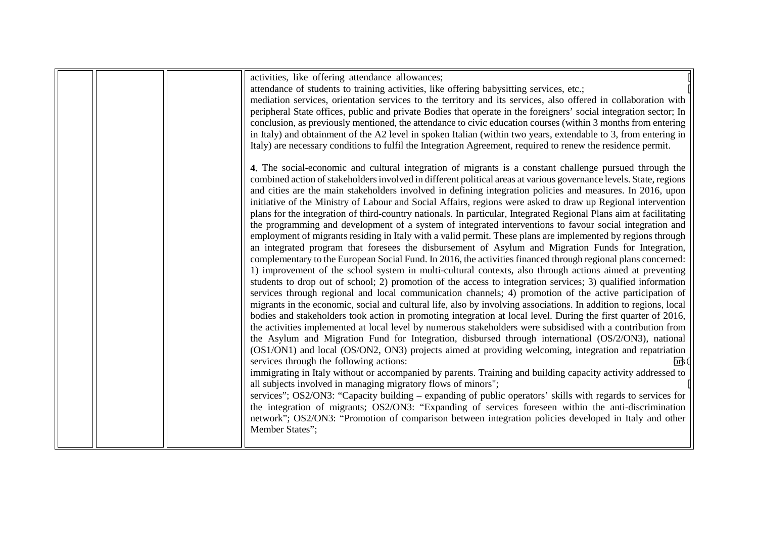|  | activities, like offering attendance allowances;<br>attendance of students to training activities, like offering babysitting services, etc.;<br>mediation services, orientation services to the territory and its services, also offered in collaboration with |
|--|----------------------------------------------------------------------------------------------------------------------------------------------------------------------------------------------------------------------------------------------------------------|
|  | peripheral State offices, public and private Bodies that operate in the foreigners' social integration sector; In                                                                                                                                              |
|  | conclusion, as previously mentioned, the attendance to civic education courses (within 3 months from entering<br>in Italy) and obtainment of the A2 level in spoken Italian (within two years, extendable to 3, from entering in                               |
|  | Italy) are necessary conditions to fulfil the Integration Agreement, required to renew the residence permit.                                                                                                                                                   |
|  | 4. The social-economic and cultural integration of migrants is a constant challenge pursued through the<br>combined action of stakeholders involved in different political areas at various governance levels. State, regions                                  |
|  | and cities are the main stakeholders involved in defining integration policies and measures. In 2016, upon                                                                                                                                                     |
|  | initiative of the Ministry of Labour and Social Affairs, regions were asked to draw up Regional intervention<br>plans for the integration of third-country nationals. In particular, Integrated Regional Plans aim at facilitating                             |
|  | the programming and development of a system of integrated interventions to favour social integration and<br>employment of migrants residing in Italy with a valid permit. These plans are implemented by regions through                                       |
|  | an integrated program that foresees the disbursement of Asylum and Migration Funds for Integration,                                                                                                                                                            |
|  | complementary to the European Social Fund. In 2016, the activities financed through regional plans concerned:<br>1) improvement of the school system in multi-cultural contexts, also through actions aimed at preventing                                      |
|  | students to drop out of school; 2) promotion of the access to integration services; 3) qualified information<br>services through regional and local communication channels; 4) promotion of the active participation of                                        |
|  | migrants in the economic, social and cultural life, also by involving associations. In addition to regions, local<br>bodies and stakeholders took action in promoting integration at local level. During the first quarter of 2016,                            |
|  | the activities implemented at local level by numerous stakeholders were subsidised with a contribution from                                                                                                                                                    |
|  | the Asylum and Migration Fund for Integration, disbursed through international (OS/2/ON3), national<br>(OS1/ON1) and local (OS/ON2, ON3) projects aimed at providing welcoming, integration and repatriation                                                   |
|  | services through the following actions:<br>brk)<br>immigrating in Italy without or accompanied by parents. Training and building capacity activity addressed to                                                                                                |
|  | all subjects involved in managing migratory flows of minors";                                                                                                                                                                                                  |
|  | services"; OS2/ON3: "Capacity building - expanding of public operators' skills with regards to services for<br>the integration of migrants; OS2/ON3: "Expanding of services foreseen within the anti-discrimination                                            |
|  | network"; OS2/ON3: "Promotion of comparison between integration policies developed in Italy and other<br>Member States";                                                                                                                                       |
|  |                                                                                                                                                                                                                                                                |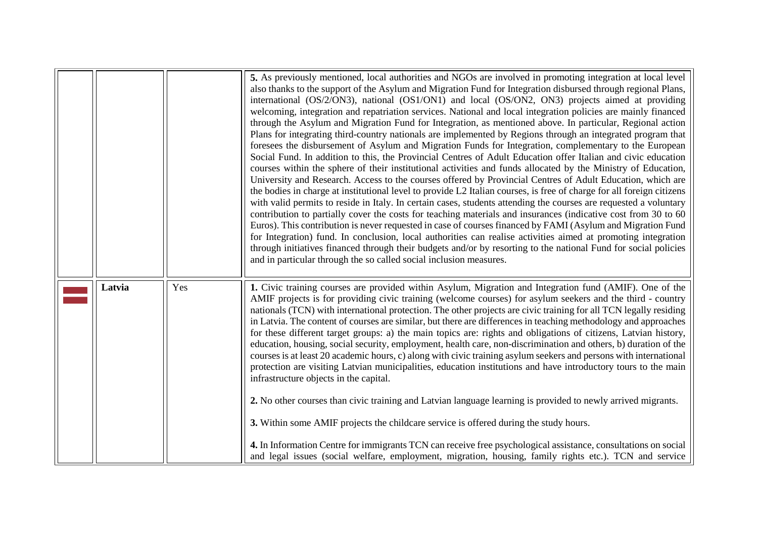<span id="page-18-0"></span>

|        |     | 5. As previously mentioned, local authorities and NGOs are involved in promoting integration at local level<br>also thanks to the support of the Asylum and Migration Fund for Integration disbursed through regional Plans,<br>international (OS/2/ON3), national (OS1/ON1) and local (OS/ON2, ON3) projects aimed at providing<br>welcoming, integration and repatriation services. National and local integration policies are mainly financed<br>through the Asylum and Migration Fund for Integration, as mentioned above. In particular, Regional action<br>Plans for integrating third-country nationals are implemented by Regions through an integrated program that<br>foresees the disbursement of Asylum and Migration Funds for Integration, complementary to the European<br>Social Fund. In addition to this, the Provincial Centres of Adult Education offer Italian and civic education<br>courses within the sphere of their institutional activities and funds allocated by the Ministry of Education,<br>University and Research. Access to the courses offered by Provincial Centres of Adult Education, which are<br>the bodies in charge at institutional level to provide L2 Italian courses, is free of charge for all foreign citizens<br>with valid permits to reside in Italy. In certain cases, students attending the courses are requested a voluntary<br>contribution to partially cover the costs for teaching materials and insurances (indicative cost from 30 to 60<br>Euros). This contribution is never requested in case of courses financed by FAMI (Asylum and Migration Fund<br>for Integration) fund. In conclusion, local authorities can realise activities aimed at promoting integration<br>through initiatives financed through their budgets and/or by resorting to the national Fund for social policies<br>and in particular through the so called social inclusion measures. |
|--------|-----|----------------------------------------------------------------------------------------------------------------------------------------------------------------------------------------------------------------------------------------------------------------------------------------------------------------------------------------------------------------------------------------------------------------------------------------------------------------------------------------------------------------------------------------------------------------------------------------------------------------------------------------------------------------------------------------------------------------------------------------------------------------------------------------------------------------------------------------------------------------------------------------------------------------------------------------------------------------------------------------------------------------------------------------------------------------------------------------------------------------------------------------------------------------------------------------------------------------------------------------------------------------------------------------------------------------------------------------------------------------------------------------------------------------------------------------------------------------------------------------------------------------------------------------------------------------------------------------------------------------------------------------------------------------------------------------------------------------------------------------------------------------------------------------------------------------------------------------------------------------------------------------------------------------------------------|
| Latvia | Yes | 1. Civic training courses are provided within Asylum, Migration and Integration fund (AMIF). One of the<br>AMIF projects is for providing civic training (welcome courses) for asylum seekers and the third - country<br>nationals (TCN) with international protection. The other projects are civic training for all TCN legally residing<br>in Latvia. The content of courses are similar, but there are differences in teaching methodology and approaches<br>for these different target groups: a) the main topics are: rights and obligations of citizens, Latvian history,<br>education, housing, social security, employment, health care, non-discrimination and others, b) duration of the<br>courses is at least 20 academic hours, c) along with civic training asylum seekers and persons with international<br>protection are visiting Latvian municipalities, education institutions and have introductory tours to the main<br>infrastructure objects in the capital.<br>2. No other courses than civic training and Latvian language learning is provided to newly arrived migrants.<br>3. Within some AMIF projects the childcare service is offered during the study hours.<br>4. In Information Centre for immigrants TCN can receive free psychological assistance, consultations on social<br>and legal issues (social welfare, employment, migration, housing, family rights etc.). TCN and service                                                                                                                                                                                                                                                                                                                                                                                                                                                                                                        |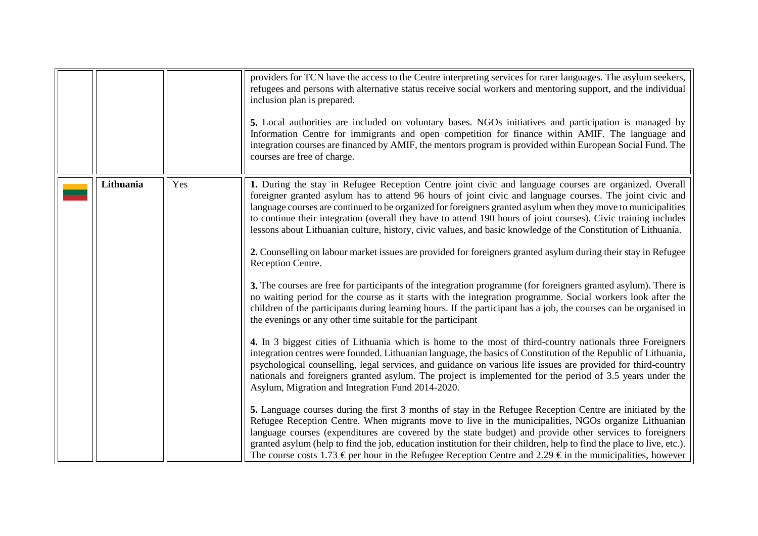<span id="page-19-0"></span>

|           |     | providers for TCN have the access to the Centre interpreting services for rarer languages. The asylum seekers,<br>refugees and persons with alternative status receive social workers and mentoring support, and the individual<br>inclusion plan is prepared.<br>5. Local authorities are included on voluntary bases. NGOs initiatives and participation is managed by<br>Information Centre for immigrants and open competition for finance within AMIF. The language and<br>integration courses are financed by AMIF, the mentors program is provided within European Social Fund. The<br>courses are free of charge.                                                                                       |
|-----------|-----|-----------------------------------------------------------------------------------------------------------------------------------------------------------------------------------------------------------------------------------------------------------------------------------------------------------------------------------------------------------------------------------------------------------------------------------------------------------------------------------------------------------------------------------------------------------------------------------------------------------------------------------------------------------------------------------------------------------------|
| Lithuania | Yes | 1. During the stay in Refugee Reception Centre joint civic and language courses are organized. Overall<br>foreigner granted asylum has to attend 96 hours of joint civic and language courses. The joint civic and<br>language courses are continued to be organized for foreigners granted asylum when they move to municipalities<br>to continue their integration (overall they have to attend 190 hours of joint courses). Civic training includes<br>lessons about Lithuanian culture, history, civic values, and basic knowledge of the Constitution of Lithuania.<br>2. Counselling on labour market issues are provided for foreigners granted asylum during their stay in Refugee<br>Reception Centre. |
|           |     | 3. The courses are free for participants of the integration programme (for foreigners granted asylum). There is<br>no waiting period for the course as it starts with the integration programme. Social workers look after the<br>children of the participants during learning hours. If the participant has a job, the courses can be organised in<br>the evenings or any other time suitable for the participant                                                                                                                                                                                                                                                                                              |
|           |     | 4. In 3 biggest cities of Lithuania which is home to the most of third-country nationals three Foreigners<br>integration centres were founded. Lithuanian language, the basics of Constitution of the Republic of Lithuania,<br>psychological counselling, legal services, and guidance on various life issues are provided for third-country<br>nationals and foreigners granted asylum. The project is implemented for the period of 3.5 years under the<br>Asylum, Migration and Integration Fund 2014-2020.                                                                                                                                                                                                 |
|           |     | 5. Language courses during the first 3 months of stay in the Refugee Reception Centre are initiated by the<br>Refugee Reception Centre. When migrants move to live in the municipalities, NGOs organize Lithuanian<br>language courses (expenditures are covered by the state budget) and provide other services to foreigners<br>granted asylum (help to find the job, education institution for their children, help to find the place to live, etc.).<br>The course costs 1.73 $\epsilon$ per hour in the Refugee Reception Centre and 2.29 $\epsilon$ in the municipalities, however                                                                                                                        |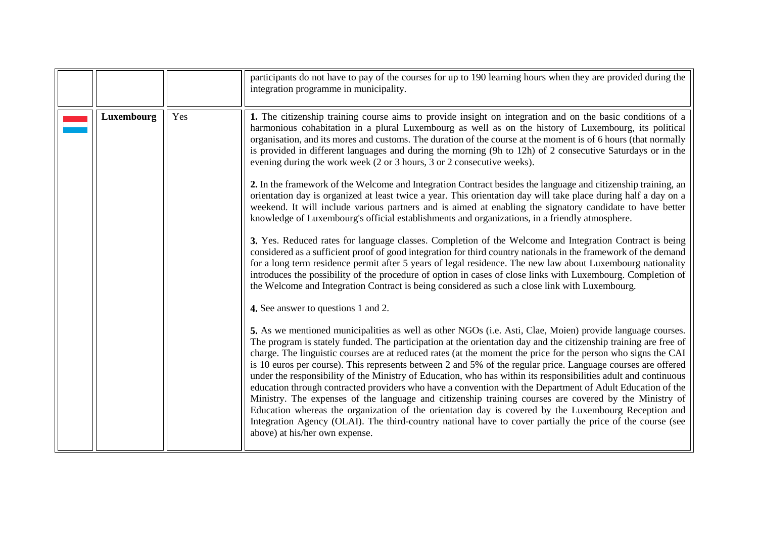<span id="page-20-0"></span>

|            |     | participants do not have to pay of the courses for up to 190 learning hours when they are provided during the<br>integration programme in municipality.                                                                                                                                                                                                                                                                                                                                                                                                                                                                                                                                                                                                                                                                                                                                                                                                                                                                                                                                                   |
|------------|-----|-----------------------------------------------------------------------------------------------------------------------------------------------------------------------------------------------------------------------------------------------------------------------------------------------------------------------------------------------------------------------------------------------------------------------------------------------------------------------------------------------------------------------------------------------------------------------------------------------------------------------------------------------------------------------------------------------------------------------------------------------------------------------------------------------------------------------------------------------------------------------------------------------------------------------------------------------------------------------------------------------------------------------------------------------------------------------------------------------------------|
| Luxembourg | Yes | 1. The citizenship training course aims to provide insight on integration and on the basic conditions of a<br>harmonious cohabitation in a plural Luxembourg as well as on the history of Luxembourg, its political<br>organisation, and its mores and customs. The duration of the course at the moment is of 6 hours (that normally<br>is provided in different languages and during the morning (9h to 12h) of 2 consecutive Saturdays or in the<br>evening during the work week (2 or 3 hours, 3 or 2 consecutive weeks).<br>2. In the framework of the Welcome and Integration Contract besides the language and citizenship training, an<br>orientation day is organized at least twice a year. This orientation day will take place during half a day on a                                                                                                                                                                                                                                                                                                                                         |
|            |     | weekend. It will include various partners and is aimed at enabling the signatory candidate to have better<br>knowledge of Luxembourg's official establishments and organizations, in a friendly atmosphere.<br>3. Yes. Reduced rates for language classes. Completion of the Welcome and Integration Contract is being<br>considered as a sufficient proof of good integration for third country nationals in the framework of the demand<br>for a long term residence permit after 5 years of legal residence. The new law about Luxembourg nationality<br>introduces the possibility of the procedure of option in cases of close links with Luxembourg. Completion of<br>the Welcome and Integration Contract is being considered as such a close link with Luxembourg.                                                                                                                                                                                                                                                                                                                                |
|            |     | 4. See answer to questions 1 and 2.<br>5. As we mentioned municipalities as well as other NGOs (i.e. Asti, Clae, Moien) provide language courses.<br>The program is stately funded. The participation at the orientation day and the citizenship training are free of<br>charge. The linguistic courses are at reduced rates (at the moment the price for the person who signs the CAI<br>is 10 euros per course). This represents between 2 and 5% of the regular price. Language courses are offered<br>under the responsibility of the Ministry of Education, who has within its responsibilities adult and continuous<br>education through contracted providers who have a convention with the Department of Adult Education of the<br>Ministry. The expenses of the language and citizenship training courses are covered by the Ministry of<br>Education whereas the organization of the orientation day is covered by the Luxembourg Reception and<br>Integration Agency (OLAI). The third-country national have to cover partially the price of the course (see<br>above) at his/her own expense. |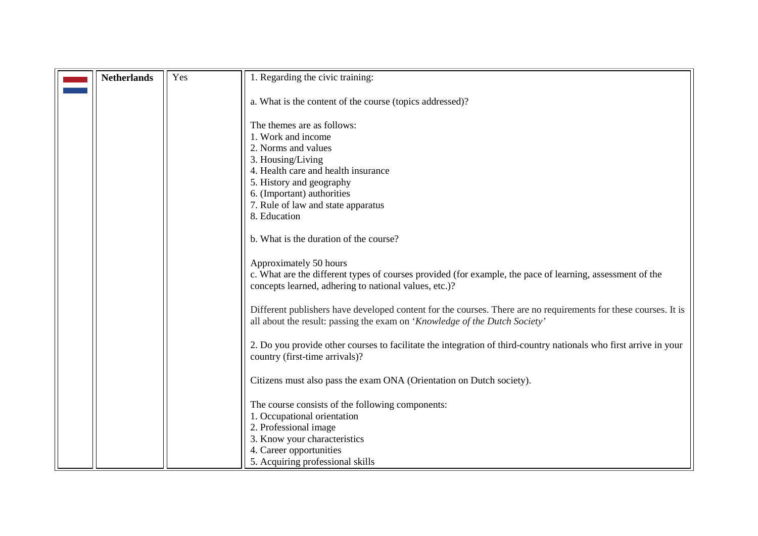<span id="page-21-0"></span>

| <b>Netherlands</b> | Yes | 1. Regarding the civic training:                                                                                  |
|--------------------|-----|-------------------------------------------------------------------------------------------------------------------|
|                    |     |                                                                                                                   |
|                    |     | a. What is the content of the course (topics addressed)?                                                          |
|                    |     |                                                                                                                   |
|                    |     | The themes are as follows:                                                                                        |
|                    |     | 1. Work and income                                                                                                |
|                    |     | 2. Norms and values                                                                                               |
|                    |     | 3. Housing/Living                                                                                                 |
|                    |     | 4. Health care and health insurance                                                                               |
|                    |     | 5. History and geography                                                                                          |
|                    |     | 6. (Important) authorities                                                                                        |
|                    |     | 7. Rule of law and state apparatus                                                                                |
|                    |     | 8. Education                                                                                                      |
|                    |     | b. What is the duration of the course?                                                                            |
|                    |     |                                                                                                                   |
|                    |     | Approximately 50 hours                                                                                            |
|                    |     | c. What are the different types of courses provided (for example, the pace of learning, assessment of the         |
|                    |     | concepts learned, adhering to national values, etc.)?                                                             |
|                    |     |                                                                                                                   |
|                    |     | Different publishers have developed content for the courses. There are no requirements for these courses. It is   |
|                    |     | all about the result: passing the exam on 'Knowledge of the Dutch Society'                                        |
|                    |     | 2. Do you provide other courses to facilitate the integration of third-country nationals who first arrive in your |
|                    |     | country (first-time arrivals)?                                                                                    |
|                    |     |                                                                                                                   |
|                    |     | Citizens must also pass the exam ONA (Orientation on Dutch society).                                              |
|                    |     |                                                                                                                   |
|                    |     | The course consists of the following components:                                                                  |
|                    |     | 1. Occupational orientation                                                                                       |
|                    |     | 2. Professional image                                                                                             |
|                    |     | 3. Know your characteristics                                                                                      |
|                    |     | 4. Career opportunities                                                                                           |
|                    |     | 5. Acquiring professional skills                                                                                  |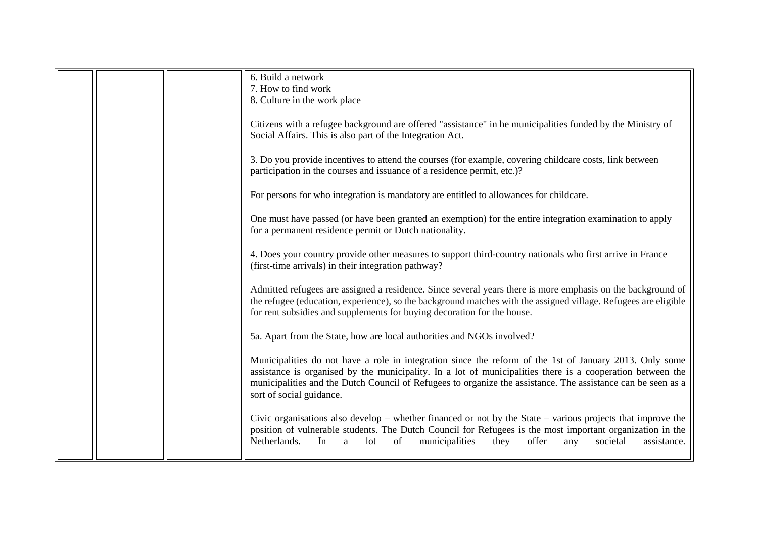|  | 6. Build a network                                                                                                    |
|--|-----------------------------------------------------------------------------------------------------------------------|
|  | 7. How to find work                                                                                                   |
|  | 8. Culture in the work place                                                                                          |
|  |                                                                                                                       |
|  | Citizens with a refugee background are offered "assistance" in he municipalities funded by the Ministry of            |
|  | Social Affairs. This is also part of the Integration Act.                                                             |
|  |                                                                                                                       |
|  | 3. Do you provide incentives to attend the courses (for example, covering childcare costs, link between               |
|  | participation in the courses and issuance of a residence permit, etc.)?                                               |
|  |                                                                                                                       |
|  |                                                                                                                       |
|  | For persons for who integration is mandatory are entitled to allowances for childcare.                                |
|  |                                                                                                                       |
|  | One must have passed (or have been granted an exemption) for the entire integration examination to apply              |
|  | for a permanent residence permit or Dutch nationality.                                                                |
|  |                                                                                                                       |
|  | 4. Does your country provide other measures to support third-country nationals who first arrive in France             |
|  | (first-time arrivals) in their integration pathway?                                                                   |
|  |                                                                                                                       |
|  | Admitted refugees are assigned a residence. Since several years there is more emphasis on the background of           |
|  | the refugee (education, experience), so the background matches with the assigned village. Refugees are eligible       |
|  | for rent subsidies and supplements for buying decoration for the house.                                               |
|  |                                                                                                                       |
|  | 5a. Apart from the State, how are local authorities and NGOs involved?                                                |
|  |                                                                                                                       |
|  | Municipalities do not have a role in integration since the reform of the 1st of January 2013. Only some               |
|  | assistance is organised by the municipality. In a lot of municipalities there is a cooperation between the            |
|  | municipalities and the Dutch Council of Refugees to organize the assistance. The assistance can be seen as a          |
|  | sort of social guidance.                                                                                              |
|  |                                                                                                                       |
|  | Civic organisations also develop $-$ whether financed or not by the State $-$ various projects that improve the       |
|  | position of vulnerable students. The Dutch Council for Refugees is the most important organization in the             |
|  | Netherlands.<br>of<br>municipalities<br>they<br>offer<br>societal<br>assistance.<br>In<br>1 <sub>ot</sub><br>a<br>any |
|  |                                                                                                                       |
|  |                                                                                                                       |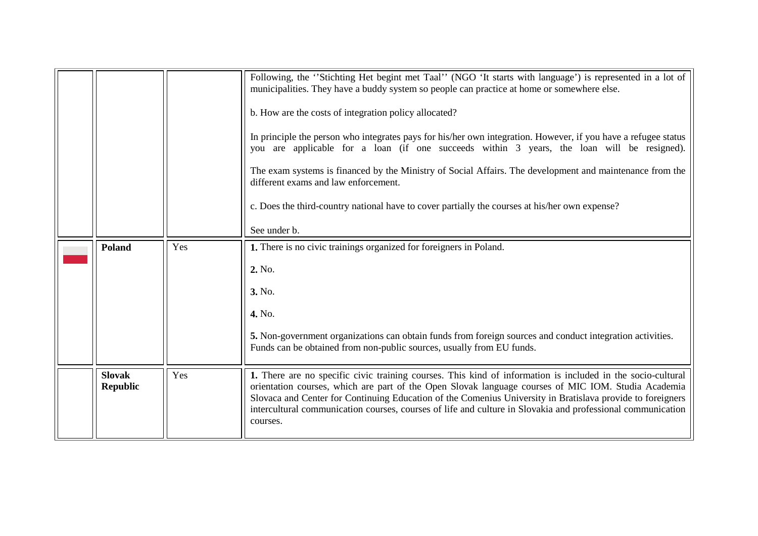<span id="page-23-0"></span>

|                                  |     | Following, the "Stichting Het begint met Taal" (NGO 'It starts with language') is represented in a lot of<br>municipalities. They have a buddy system so people can practice at home or somewhere else.<br>b. How are the costs of integration policy allocated?<br>In principle the person who integrates pays for his/her own integration. However, if you have a refugee status<br>you are applicable for a loan (if one succeeds within 3 years, the loan will be resigned).<br>The exam systems is financed by the Ministry of Social Affairs. The development and maintenance from the<br>different exams and law enforcement.<br>c. Does the third-country national have to cover partially the courses at his/her own expense?<br>See under b. |
|----------------------------------|-----|--------------------------------------------------------------------------------------------------------------------------------------------------------------------------------------------------------------------------------------------------------------------------------------------------------------------------------------------------------------------------------------------------------------------------------------------------------------------------------------------------------------------------------------------------------------------------------------------------------------------------------------------------------------------------------------------------------------------------------------------------------|
| <b>Poland</b>                    | Yes | 1. There is no civic trainings organized for foreigners in Poland.<br>2. No.<br>3. No.<br>4. No.<br>5. Non-government organizations can obtain funds from foreign sources and conduct integration activities.<br>Funds can be obtained from non-public sources, usually from EU funds.                                                                                                                                                                                                                                                                                                                                                                                                                                                                 |
| <b>Slovak</b><br><b>Republic</b> | Yes | 1. There are no specific civic training courses. This kind of information is included in the socio-cultural<br>orientation courses, which are part of the Open Slovak language courses of MIC IOM. Studia Academia<br>Slovaca and Center for Continuing Education of the Comenius University in Bratislava provide to foreigners<br>intercultural communication courses, courses of life and culture in Slovakia and professional communication<br>courses.                                                                                                                                                                                                                                                                                            |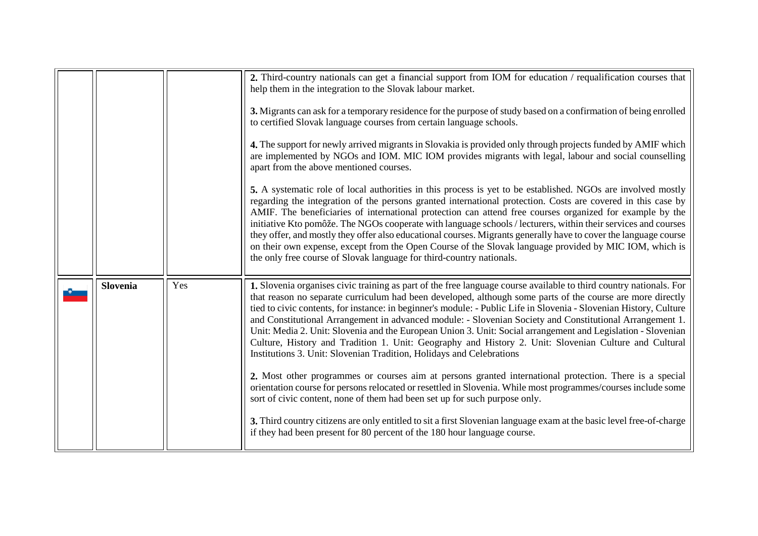<span id="page-24-0"></span>

|                 |     | 2. Third-country nationals can get a financial support from IOM for education / requalification courses that<br>help them in the integration to the Slovak labour market.<br>3. Migrants can ask for a temporary residence for the purpose of study based on a confirmation of being enrolled<br>to certified Slovak language courses from certain language schools.<br>4. The support for newly arrived migrants in Slovakia is provided only through projects funded by AMIF which<br>are implemented by NGOs and IOM. MIC IOM provides migrants with legal, labour and social counselling<br>apart from the above mentioned courses.<br>5. A systematic role of local authorities in this process is yet to be established. NGOs are involved mostly<br>regarding the integration of the persons granted international protection. Costs are covered in this case by<br>AMIF. The beneficiaries of international protection can attend free courses organized for example by the<br>initiative Kto pomôže. The NGOs cooperate with language schools / lecturers, within their services and courses<br>they offer, and mostly they offer also educational courses. Migrants generally have to cover the language course<br>on their own expense, except from the Open Course of the Slovak language provided by MIC IOM, which is<br>the only free course of Slovak language for third-country nationals. |
|-----------------|-----|-------------------------------------------------------------------------------------------------------------------------------------------------------------------------------------------------------------------------------------------------------------------------------------------------------------------------------------------------------------------------------------------------------------------------------------------------------------------------------------------------------------------------------------------------------------------------------------------------------------------------------------------------------------------------------------------------------------------------------------------------------------------------------------------------------------------------------------------------------------------------------------------------------------------------------------------------------------------------------------------------------------------------------------------------------------------------------------------------------------------------------------------------------------------------------------------------------------------------------------------------------------------------------------------------------------------------------------------------------------------------------------------------------------|
| <b>Slovenia</b> | Yes | 1. Slovenia organises civic training as part of the free language course available to third country nationals. For<br>that reason no separate curriculum had been developed, although some parts of the course are more directly<br>tied to civic contents, for instance: in beginner's module: - Public Life in Slovenia - Slovenian History, Culture<br>and Constitutional Arrangement in advanced module: - Slovenian Society and Constitutional Arrangement 1.<br>Unit: Media 2. Unit: Slovenia and the European Union 3. Unit: Social arrangement and Legislation - Slovenian<br>Culture, History and Tradition 1. Unit: Geography and History 2. Unit: Slovenian Culture and Cultural<br>Institutions 3. Unit: Slovenian Tradition, Holidays and Celebrations<br>2. Most other programmes or courses aim at persons granted international protection. There is a special<br>orientation course for persons relocated or resettled in Slovenia. While most programmes/courses include some<br>sort of civic content, none of them had been set up for such purpose only.<br>3. Third country citizens are only entitled to sit a first Slovenian language exam at the basic level free-of-charge<br>if they had been present for 80 percent of the 180 hour language course.                                                                                                                           |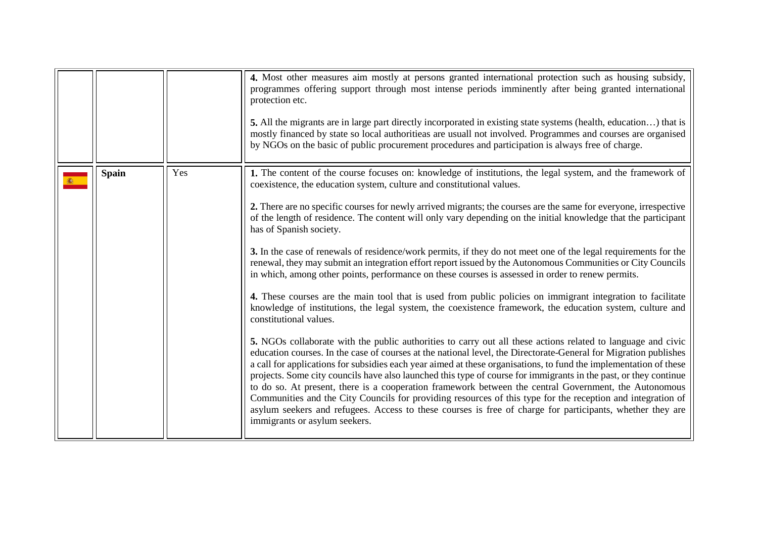<span id="page-25-0"></span>

|              |     | 4. Most other measures aim mostly at persons granted international protection such as housing subsidy,<br>programmes offering support through most intense periods imminently after being granted international<br>protection etc.<br>5. All the migrants are in large part directly incorporated in existing state systems (health, education) that is<br>mostly financed by state so local authoritieas are usuall not involved. Programmes and courses are organised<br>by NGOs on the basic of public procurement procedures and participation is always free of charge.                                                                                                                                                                                                                                                                                                                                                                                                                                                                                                                                                                                                                                                                                                                                                                                                                                                                                                                                                                                                                                                                                                                                                                                                                                                                                                                         |
|--------------|-----|------------------------------------------------------------------------------------------------------------------------------------------------------------------------------------------------------------------------------------------------------------------------------------------------------------------------------------------------------------------------------------------------------------------------------------------------------------------------------------------------------------------------------------------------------------------------------------------------------------------------------------------------------------------------------------------------------------------------------------------------------------------------------------------------------------------------------------------------------------------------------------------------------------------------------------------------------------------------------------------------------------------------------------------------------------------------------------------------------------------------------------------------------------------------------------------------------------------------------------------------------------------------------------------------------------------------------------------------------------------------------------------------------------------------------------------------------------------------------------------------------------------------------------------------------------------------------------------------------------------------------------------------------------------------------------------------------------------------------------------------------------------------------------------------------------------------------------------------------------------------------------------------------|
| <b>Spain</b> | Yes | 1. The content of the course focuses on: knowledge of institutions, the legal system, and the framework of<br>coexistence, the education system, culture and constitutional values.<br>2. There are no specific courses for newly arrived migrants; the courses are the same for everyone, irrespective<br>of the length of residence. The content will only vary depending on the initial knowledge that the participant<br>has of Spanish society.<br>3. In the case of renewals of residence/work permits, if they do not meet one of the legal requirements for the<br>renewal, they may submit an integration effort report issued by the Autonomous Communities or City Councils<br>in which, among other points, performance on these courses is assessed in order to renew permits.<br>4. These courses are the main tool that is used from public policies on immigrant integration to facilitate<br>knowledge of institutions, the legal system, the coexistence framework, the education system, culture and<br>constitutional values.<br>5. NGOs collaborate with the public authorities to carry out all these actions related to language and civic<br>education courses. In the case of courses at the national level, the Directorate-General for Migration publishes<br>a call for applications for subsidies each year aimed at these organisations, to fund the implementation of these<br>projects. Some city councils have also launched this type of course for immigrants in the past, or they continue<br>to do so. At present, there is a cooperation framework between the central Government, the Autonomous<br>Communities and the City Councils for providing resources of this type for the reception and integration of<br>asylum seekers and refugees. Access to these courses is free of charge for participants, whether they are<br>immigrants or asylum seekers. |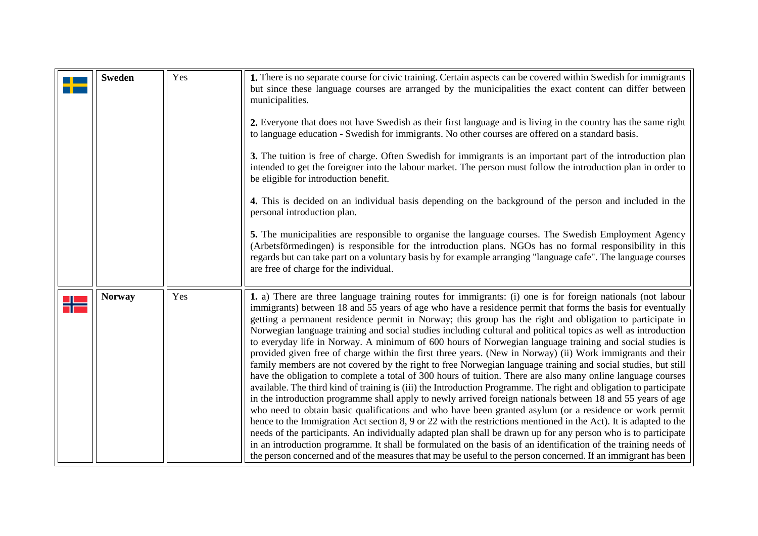<span id="page-26-0"></span>

| <b>Sweden</b> | Yes | 1. There is no separate course for civic training. Certain aspects can be covered within Swedish for immigrants<br>but since these language courses are arranged by the municipalities the exact content can differ between<br>municipalities.<br>2. Everyone that does not have Swedish as their first language and is living in the country has the same right<br>to language education - Swedish for immigrants. No other courses are offered on a standard basis.<br>3. The tuition is free of charge. Often Swedish for immigrants is an important part of the introduction plan<br>intended to get the foreigner into the labour market. The person must follow the introduction plan in order to<br>be eligible for introduction benefit.<br>4. This is decided on an individual basis depending on the background of the person and included in the<br>personal introduction plan.<br>5. The municipalities are responsible to organise the language courses. The Swedish Employment Agency<br>(Arbetsförmedingen) is responsible for the introduction plans. NGOs has no formal responsibility in this<br>regards but can take part on a voluntary basis by for example arranging "language cafe". The language courses<br>are free of charge for the individual.                                                                                                                                                                                                                                                                                                                                                                                                                                                                    |
|---------------|-----|-----------------------------------------------------------------------------------------------------------------------------------------------------------------------------------------------------------------------------------------------------------------------------------------------------------------------------------------------------------------------------------------------------------------------------------------------------------------------------------------------------------------------------------------------------------------------------------------------------------------------------------------------------------------------------------------------------------------------------------------------------------------------------------------------------------------------------------------------------------------------------------------------------------------------------------------------------------------------------------------------------------------------------------------------------------------------------------------------------------------------------------------------------------------------------------------------------------------------------------------------------------------------------------------------------------------------------------------------------------------------------------------------------------------------------------------------------------------------------------------------------------------------------------------------------------------------------------------------------------------------------------------------------------------------------------------------------------------------------------------------|
| <b>Norway</b> | Yes | 1. a) There are three language training routes for immigrants: (i) one is for foreign nationals (not labour<br>immigrants) between 18 and 55 years of age who have a residence permit that forms the basis for eventually<br>getting a permanent residence permit in Norway; this group has the right and obligation to participate in<br>Norwegian language training and social studies including cultural and political topics as well as introduction<br>to everyday life in Norway. A minimum of 600 hours of Norwegian language training and social studies is<br>provided given free of charge within the first three years. (New in Norway) (ii) Work immigrants and their<br>family members are not covered by the right to free Norwegian language training and social studies, but still<br>have the obligation to complete a total of 300 hours of tuition. There are also many online language courses<br>available. The third kind of training is (iii) the Introduction Programme. The right and obligation to participate<br>in the introduction programme shall apply to newly arrived foreign nationals between 18 and 55 years of age<br>who need to obtain basic qualifications and who have been granted asylum (or a residence or work permit<br>hence to the Immigration Act section 8, 9 or 22 with the restrictions mentioned in the Act). It is adapted to the<br>needs of the participants. An individually adapted plan shall be drawn up for any person who is to participate<br>in an introduction programme. It shall be formulated on the basis of an identification of the training needs of<br>the person concerned and of the measures that may be useful to the person concerned. If an immigrant has been |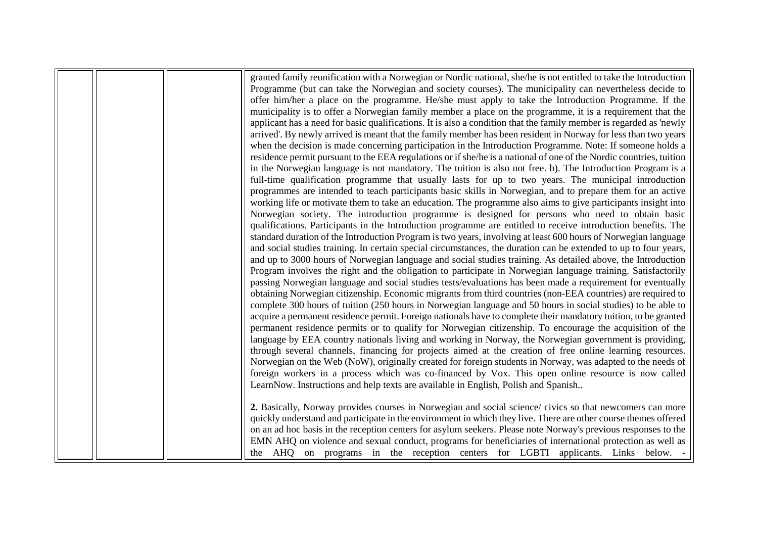|  | granted family reunification with a Norwegian or Nordic national, she/he is not entitled to take the Introduction   |
|--|---------------------------------------------------------------------------------------------------------------------|
|  | Programme (but can take the Norwegian and society courses). The municipality can nevertheless decide to             |
|  | offer him/her a place on the programme. He/she must apply to take the Introduction Programme. If the                |
|  | municipality is to offer a Norwegian family member a place on the programme, it is a requirement that the           |
|  | applicant has a need for basic qualifications. It is also a condition that the family member is regarded as 'newly  |
|  | arrived'. By newly arrived is meant that the family member has been resident in Norway for less than two years      |
|  | when the decision is made concerning participation in the Introduction Programme. Note: If someone holds a          |
|  | residence permit pursuant to the EEA regulations or if she/he is a national of one of the Nordic countries, tuition |
|  | in the Norwegian language is not mandatory. The tuition is also not free. b). The Introduction Program is a         |
|  | full-time qualification programme that usually lasts for up to two years. The municipal introduction                |
|  | programmes are intended to teach participants basic skills in Norwegian, and to prepare them for an active          |
|  | working life or motivate them to take an education. The programme also aims to give participants insight into       |
|  | Norwegian society. The introduction programme is designed for persons who need to obtain basic                      |
|  | qualifications. Participants in the Introduction programme are entitled to receive introduction benefits. The       |
|  | standard duration of the Introduction Program is two years, involving at least 600 hours of Norwegian language      |
|  | and social studies training. In certain special circumstances, the duration can be extended to up to four years,    |
|  | and up to 3000 hours of Norwegian language and social studies training. As detailed above, the Introduction         |
|  | Program involves the right and the obligation to participate in Norwegian language training. Satisfactorily         |
|  | passing Norwegian language and social studies tests/evaluations has been made a requirement for eventually          |
|  | obtaining Norwegian citizenship. Economic migrants from third countries (non-EEA countries) are required to         |
|  | complete 300 hours of tuition (250 hours in Norwegian language and 50 hours in social studies) to be able to        |
|  | acquire a permanent residence permit. Foreign nationals have to complete their mandatory tuition, to be granted     |
|  | permanent residence permits or to qualify for Norwegian citizenship. To encourage the acquisition of the            |
|  | language by EEA country nationals living and working in Norway, the Norwegian government is providing,              |
|  | through several channels, financing for projects aimed at the creation of free online learning resources.           |
|  | Norwegian on the Web (NoW), originally created for foreign students in Norway, was adapted to the needs of          |
|  | foreign workers in a process which was co-financed by Vox. This open online resource is now called                  |
|  | LearnNow. Instructions and help texts are available in English, Polish and Spanish                                  |
|  | 2. Basically, Norway provides courses in Norwegian and social science/ civics so that newcomers can more            |
|  | quickly understand and participate in the environment in which they live. There are other course themes offered     |
|  | on an ad hoc basis in the reception centers for asylum seekers. Please note Norway's previous responses to the      |
|  | EMN AHQ on violence and sexual conduct, programs for beneficiaries of international protection as well as           |
|  | the AHQ on programs in the reception centers for LGBTI applicants. Links below. -                                   |